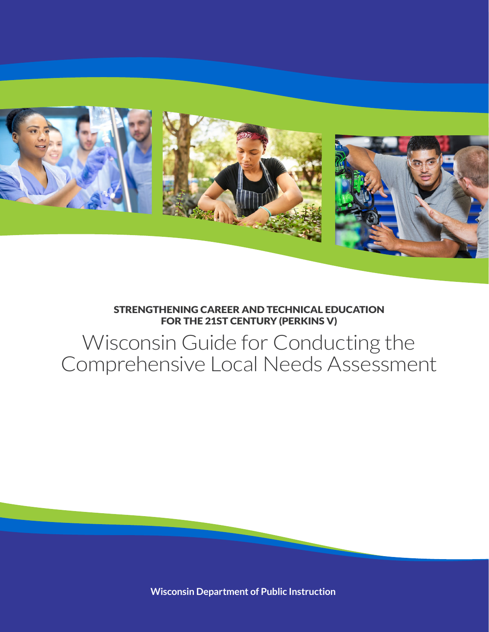

#### STRENGTHENING CAREER AND TECHNICAL EDUCATION FOR THE 21ST CENTURY (PERKINS V)

# Wisconsin Guide for Conducting the Comprehensive Local Needs Assessment

**Wisconsin Department of Public Instruction**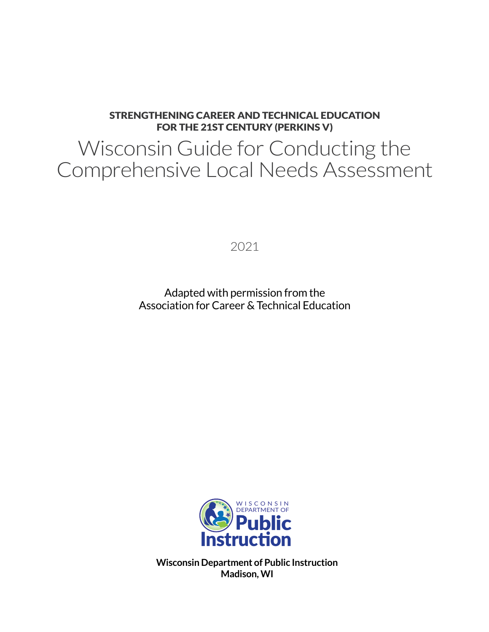#### STRENGTHENING CAREER AND TECHNICAL EDUCATION FOR THE 21ST CENTURY (PERKINS V)

# Wisconsin Guide for Conducting the Comprehensive Local Needs Assessment

2021

Adapted with permission from the Association for Career & Technical Education



**Wisconsin Department of Public Instruction Madison, WI**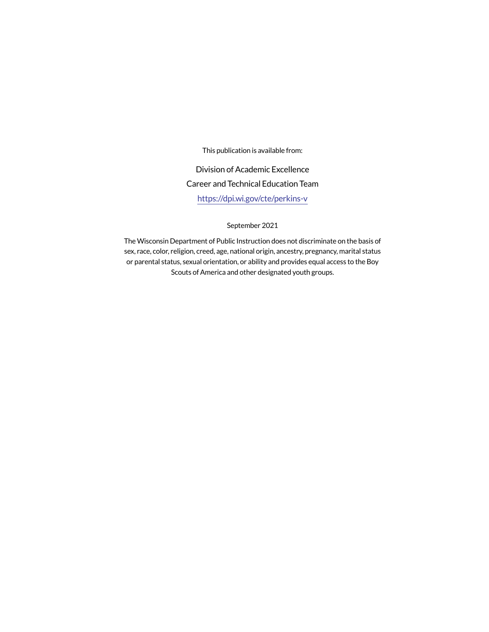This publication is available from:

Division of Academic Excellence Career and Technical Education Team https://dpi.wi.gov/cte/perkins-v

September 2021

The Wisconsin Department of Public Instruction does not discriminate on the basis of sex, race, color, religion, creed, age, national origin, ancestry, pregnancy, marital status or parental status, sexual orientation, or ability and provides equal access to the Boy Scouts of America and other designated youth groups.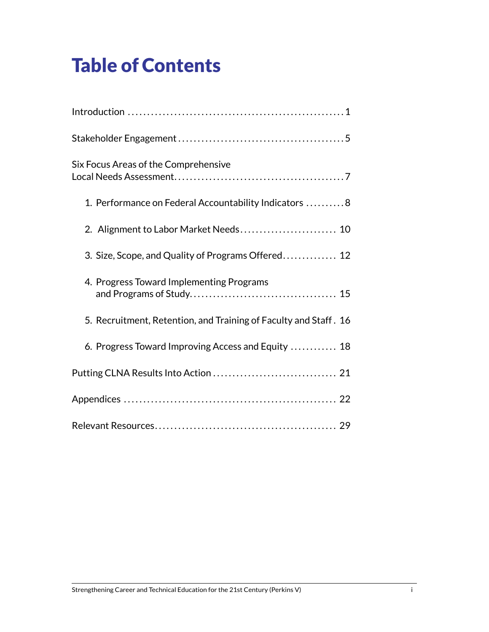# Table of Contents

| Six Focus Areas of the Comprehensive                             |
|------------------------------------------------------------------|
| 1. Performance on Federal Accountability Indicators 8            |
| 2. Alignment to Labor Market Needs 10                            |
| 3. Size, Scope, and Quality of Programs Offered 12               |
| 4. Progress Toward Implementing Programs                         |
| 5. Recruitment, Retention, and Training of Faculty and Staff. 16 |
| 6. Progress Toward Improving Access and Equity  18               |
|                                                                  |
|                                                                  |
|                                                                  |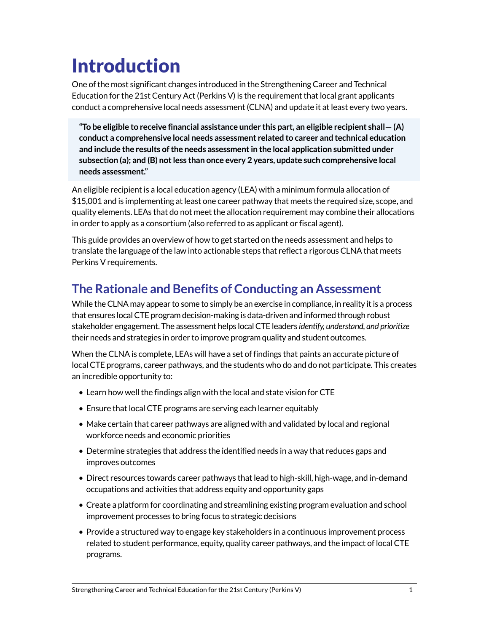# Introduction

One of the most significant changes introduced in the Strengthening Career and Technical Education for the 21st Century Act (Perkins V) is the requirement that local grant applicants conduct a comprehensive local needs assessment (CLNA) and update it at least every two years.

**"To be eligible to receive financial assistance under this part, an eligible recipient shall— (A) conduct a comprehensive local needs assessment related to career and technical education and include the results of the needs assessment in the local application submitted under subsection (a); and (B) not less than once every 2 years, update such comprehensive local needs assessment."**

An eligible recipient is a local education agency (LEA) with a minimum formula allocation of \$15,001 and is implementing at least one career pathway that meets the required size, scope, and quality elements. LEAs that do not meet the allocation requirement may combine their allocations in order to apply as a consortium (also referred to as applicant or fiscal agent).

This guide provides an overview of how to get started on the needs assessment and helps to translate the language of the law into actionable steps that reflect a rigorous CLNA that meets Perkins V requirements.

## **The Rationale and Benefits of Conducting an Assessment**

While the CLNA may appear to some to simply be an exercise in compliance, in reality it is a process that ensures local CTE program decision-making is data-driven and informed through robust stakeholder engagement. The assessment helps local CTE leaders *identify, understand, and prioritize* their needs and strategies in order to improve program quality and student outcomes.

When the CLNA is complete, LEAs will have a set of findings that paints an accurate picture of local CTE programs, career pathways, and the students who do and do not participate. This creates an incredible opportunity to:

- Learn how well the findings align with the local and state vision for CTE
- Ensure that local CTE programs are serving each learner equitably
- Make certain that career pathways are aligned with and validated by local and regional workforce needs and economic priorities
- Determine strategies that address the identified needs in a way that reduces gaps and improves outcomes
- Direct resources towards career pathways that lead to high-skill, high-wage, and in-demand occupations and activities that address equity and opportunity gaps
- Create a platform for coordinating and streamlining existing program evaluation and school improvement processes to bring focus to strategic decisions
- Provide a structured way to engage key stakeholders in a continuous improvement process related to student performance, equity, quality career pathways, and the impact of local CTE programs.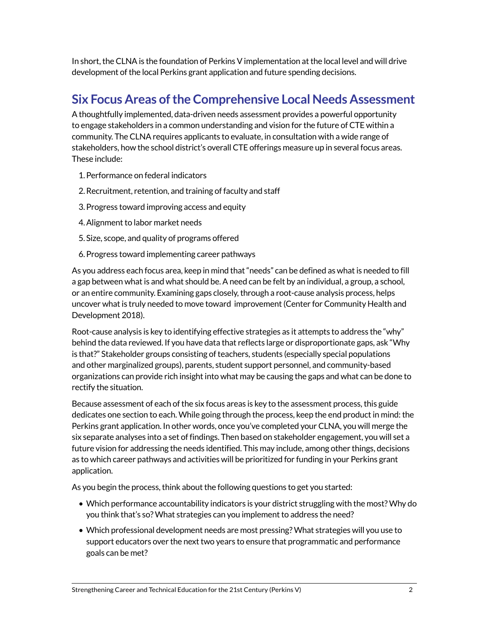In short, the CLNA is the foundation of Perkins V implementation at the local level and will drive development of the local Perkins grant application and future spending decisions.

## **Six Focus Areas of the Comprehensive Local Needs Assessment**

A thoughtfully implemented, data-driven needs assessment provides a powerful opportunity to engage stakeholders in a common understanding and vision for the future of CTE within a community. The CLNA requires applicants to evaluate, in consultation with a wide range of stakeholders, how the school district's overall CTE offerings measure up in several focus areas. These include:

- 1.Performance on federal indicators
- 2.Recruitment, retention, and training of faculty and staff
- 3.Progress toward improving access and equity
- 4.Alignment to labor market needs
- 5. Size, scope, and quality of programs offered
- 6.Progress toward implementing career pathways

As you address each focus area, keep in mind that "needs" can be defined as what is needed to fill a gap between what is and what should be. A need can be felt by an individual, a group, a school, or an entire community. Examining gaps closely, through a root-cause analysis process, helps uncover what is truly needed to move toward improvement (Center for Community Health and Development 2018).

Root-cause analysis is key to identifying effective strategies as it attempts to address the "why" behind the data reviewed. If you have data that reflects large or disproportionate gaps, ask "Why is that?" Stakeholder groups consisting of teachers, students (especially special populations and other marginalized groups), parents, student support personnel, and community-based organizations can provide rich insight into what may be causing the gaps and what can be done to rectify the situation.

Because assessment of each of the six focus areas is key to the assessment process, this guide dedicates one section to each. While going through the process, keep the end product in mind: the Perkins grant application. In other words, once you've completed your CLNA, you will merge the six separate analyses into a set of findings. Then based on stakeholder engagement, you will set a future vision for addressing the needs identified. This may include, among other things, decisions as to which career pathways and activities will be prioritized for funding in your Perkins grant application.

As you begin the process, think about the following questions to get you started:

- Which performance accountability indicators is your district struggling with the most? Why do you think that's so? What strategies can you implement to address the need?
- Which professional development needs are most pressing? What strategies will you use to support educators over the next two years to ensure that programmatic and performance goals can be met?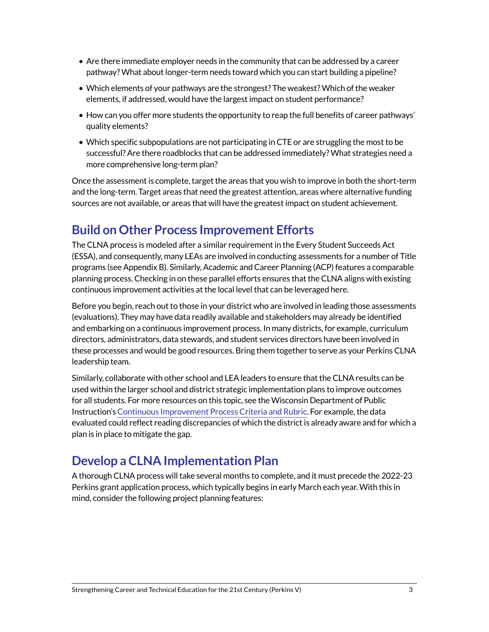- Are there immediate employer needs in the community that can be addressed by a career pathway? What about longer-term needs toward which you can start building a pipeline?
- Which elements of your pathways are the strongest? The weakest? Which of the weaker elements, if addressed, would have the largest impact on student performance?
- How can you offer more students the opportunity to reap the full benefits of career pathways' quality elements?
- Which specific subpopulations are not participating in CTE or are struggling the most to be successful? Are there roadblocks that can be addressed immediately? What strategies need a more comprehensive long-term plan?

Once the assessment is complete, target the areas that you wish to improve in both the short-term and the long-term. Target areas that need the greatest attention, areas where alternative funding sources are not available, or areas that will have the greatest impact on student achievement.

## **Build on Other Process Improvement Efforts**

The CLNA process is modeled after a similar requirement in the Every Student Succeeds Act (ESSA), and consequently, many LEAs are involved in conducting assessments for a number of Title programs (see Appendix B). Similarly, Academic and Career Planning (ACP) features a comparable planning process. Checking in on these parallel efforts ensures that the CLNA aligns with existing continuous improvement activities at the local level that can be leveraged here.

Before you begin, reach out to those in your district who are involved in leading those assessments (evaluations). They may have data readily available and stakeholders may already be identified and embarking on a continuous improvement process. In many districts, for example, curriculum directors, administrators, data stewards, and student services directors have been involved in these processes and would be good resources. Bring them together to serve as your Perkins CLNA leadership team.

Similarly, collaborate with other school and LEA leaders to ensure that the CLNA results can be used within the larger school and district strategic implementation plans to improve outcomes for all students. For more resources on this topic, see the Wisconsin Department of Public Instruction's [Continuous Improvement Process Criteria and Rubric](https://dpi.wi.gov/sites/default/files/imce/continuous-improvement/pdf/CIP_rubric_draft.pdf). For example, the data evaluated could reflect reading discrepancies of which the district is already aware and for which a plan is in place to mitigate the gap.

## **Develop a CLNA Implementation Plan**

A thorough CLNA process will take several months to complete, and it must precede the 2022-23 Perkins grant application process, which typically begins in early March each year. With this in mind, consider the following project planning features: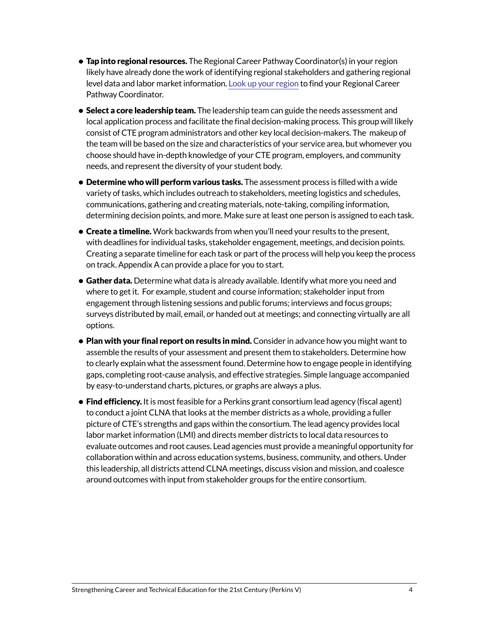- Tap into regional resources. The Regional Career Pathway Coordinator(s) in your region likely have already done the work of identifying regional stakeholders and gathering regional level data and labor market information. [Look up your region](https://dpi.wi.gov/pathways-wisconsin/regional-pathways-project) to find your Regional Career Pathway Coordinator.
- Select a core leadership team. The leadership team can guide the needs assessment and local application process and facilitate the final decision-making process. This group will likely consist of CTE program administrators and other key local decision-makers. The makeup of the team will be based on the size and characteristics of your service area, but whomever you choose should have in-depth knowledge of your CTE program, employers, and community needs, and represent the diversity of your student body.
- Determine who will perform various tasks. The assessment process is filled with a wide variety of tasks, which includes outreach to stakeholders, meeting logistics and schedules, communications, gathering and creating materials, note-taking, compiling information, determining decision points, and more. Make sure at least one person is assigned to each task.
- Create a timeline. Work backwards from when you'll need your results to the present, with deadlines for individual tasks, stakeholder engagement, meetings, and decision points. Creating a separate timeline for each task or part of the process will help you keep the process on track. Appendix A can provide a place for you to start.
- Gather data. Determine what data is already available. Identify what more you need and where to get it. For example, student and course information; stakeholder input from engagement through listening sessions and public forums; interviews and focus groups; surveys distributed by mail, email, or handed out at meetings; and connecting virtually are all options.
- Plan with your final report on results in mind. Consider in advance how you might want to assemble the results of your assessment and present them to stakeholders. Determine how to clearly explain what the assessment found. Determine how to engage people in identifying gaps, completing root-cause analysis, and effective strategies. Simple language accompanied by easy-to-understand charts, pictures, or graphs are always a plus.
- Find efficiency. It is most feasible for a Perkins grant consortium lead agency (fiscal agent) to conduct a joint CLNA that looks at the member districts as a whole, providing a fuller picture of CTE's strengths and gaps within the consortium. The lead agency provides local labor market information (LMI) and directs member districts to local data resources to evaluate outcomes and root causes. Lead agencies must provide a meaningful opportunity for collaboration within and across education systems, business, community, and others. Under this leadership, all districts attend CLNA meetings, discuss vision and mission, and coalesce around outcomes with input from stakeholder groups for the entire consortium.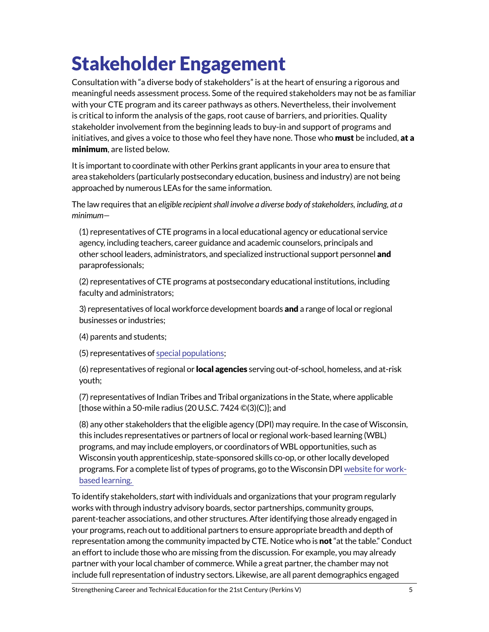# Stakeholder Engagement

Consultation with "a diverse body of stakeholders" is at the heart of ensuring a rigorous and meaningful needs assessment process. Some of the required stakeholders may not be as familiar with your CTE program and its career pathways as others. Nevertheless, their involvement is critical to inform the analysis of the gaps, root cause of barriers, and priorities. Quality stakeholder involvement from the beginning leads to buy-in and support of programs and initiatives, and gives a voice to those who feel they have none. Those who **must** be included, at a minimum, are listed below.

It is important to coordinate with other Perkins grant applicants in your area to ensure that area stakeholders (particularly postsecondary education, business and industry) are not being approached by numerous LEAs for the same information.

The law requires that an *eligible recipient shall involve a diverse body of stakeholders, including, at a minimum—*

(1) representatives of CTE programs in a local educational agency or educational service agency, including teachers, career guidance and academic counselors, principals and other school leaders, administrators, and specialized instructional support personnel and paraprofessionals;

(2) representatives of CTE programs at postsecondary educational institutions, including faculty and administrators;

3) representatives of local workforce development boards **and** a range of local or regional businesses or industries;

(4) parents and students;

(5) representatives of [special populations;](https://dpi.wi.gov/sites/default/files/imce/cte/CPA/2019_03_19_SpecialPopsPerkinsV.pdf)

(6) representatives of regional or **local agencies** serving out-of-school, homeless, and at-risk youth;

(7) representatives of Indian Tribes and Tribal organizations in the State, where applicable [those within a 50-mile radius (20 U.S.C. 7424  $\mathbb{O}(3)(C)$ ]; and

(8) any other stakeholders that the eligible agency (DPI) may require. In the case of Wisconsin, this includes representatives or partners of local or regional work-based learning (WBL) programs, and may include employers, or coordinators of WBL opportunities, such as Wisconsin youth apprenticeship, state-sponsored skills co-op, or other locally developed programs. For a complete list of types of programs, go to the Wisconsin DPI [website for work](https://dpi.wi.gov/cte/career-development/work-based)[based learning.](https://dpi.wi.gov/cte/career-development/work-based) 

To identify stakeholders, *start* with individuals and organizations that your program regularly works with through industry advisory boards, sector partnerships, community groups, parent-teacher associations, and other structures. After identifying those already engaged in your programs, reach out to additional partners to ensure appropriate breadth and depth of representation among the community impacted by CTE. Notice who is **not** "at the table." Conduct an effort to include those who are missing from the discussion. For example, you may already partner with your local chamber of commerce. While a great partner, the chamber may not include full representation of industry sectors. Likewise, are all parent demographics engaged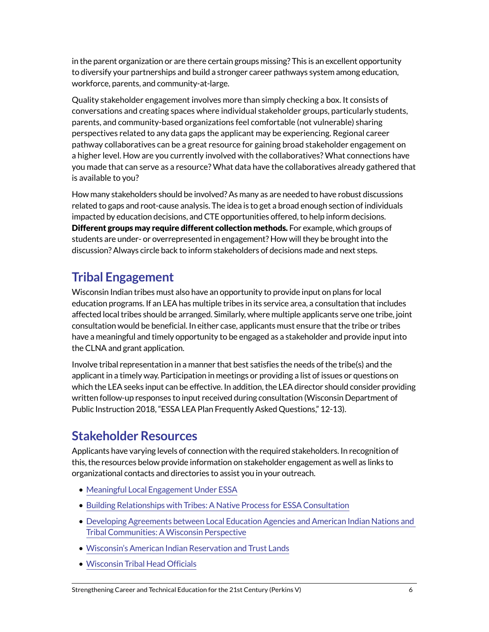in the parent organization or are there certain groups missing? This is an excellent opportunity to diversify your partnerships and build a stronger career pathways system among education, workforce, parents, and community-at-large.

Quality stakeholder engagement involves more than simply checking a box. It consists of conversations and creating spaces where individual stakeholder groups, particularly students, parents, and community-based organizations feel comfortable (not vulnerable) sharing perspectives related to any data gaps the applicant may be experiencing. Regional career pathway collaboratives can be a great resource for gaining broad stakeholder engagement on a higher level. How are you currently involved with the collaboratives? What connections have you made that can serve as a resource? What data have the collaboratives already gathered that is available to you?

How many stakeholders should be involved? As many as are needed to have robust discussions related to gaps and root-cause analysis. The idea is to get a broad enough section of individuals impacted by education decisions, and CTE opportunities offered, to help inform decisions. Different groups may require different collection methods. For example, which groups of students are under- or overrepresented in engagement? How will they be brought into the discussion? Always circle back to inform stakeholders of decisions made and next steps.

# **Tribal Engagement**

Wisconsin Indian tribes must also have an opportunity to provide input on plans for local education programs. If an LEA has multiple tribes in its service area, a consultation that includes affected local tribes should be arranged. Similarly, where multiple applicants serve one tribe, joint consultation would be beneficial. In either case, applicants must ensure that the tribe or tribes have a meaningful and timely opportunity to be engaged as a stakeholder and provide input into the CLNA and grant application.

Involve tribal representation in a manner that best satisfies the needs of the tribe(s) and the applicant in a timely way. Participation in meetings or providing a list of issues or questions on which the LEA seeks input can be effective. In addition, the LEA director should consider providing written follow-up responses to input received during consultation (Wisconsin Department of Public Instruction 2018, "ESSA LEA Plan Frequently Asked Questions," 12-13).

## **Stakeholder Resources**

Applicants have varying levels of connection with the required stakeholders. In recognition of this, the resources below provide information on stakeholder engagement as well as links to organizational contacts and directories to assist you in your outreach.

- [Meaningful Local Engagement Under ESSA](https://dpi.wi.gov/sites/default/files/imce/esea/pdf/lea-and-sl-engagementhandbook_8.10.17.pdf)
- [Building Relationships with Tribes: A Native Process for ESSA Consultation](https://dpi.wi.gov/sites/default/files/imce/esea/pdf/tribalconsultationhandout.pdf)
- [Developing Agreements between Local Education Agencies and American Indian Nations and](https://www.air.org/sites/default/files/Adams_4_HO_WI%20MOU%20Document_7312017_SECC_Equity_Summit.pdf)  [Tribal Communities: A Wisconsin Perspective](https://www.air.org/sites/default/files/Adams_4_HO_WI%20MOU%20Document_7312017_SECC_Equity_Summit.pdf)
- [Wisconsin's American Indian Reservation and Trust Lands](http://witribes.wi.gov/section.asp?linkid=731&locid=57)
- [Wisconsin Tribal Head Officials](http://witribes.wi.gov/docview.asp?docid=19085&locid=57)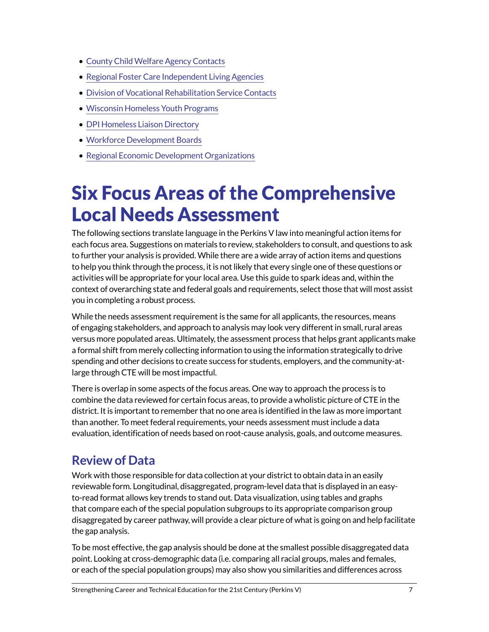- [County Child Welfare Agency Contacts](https://dcf.wisconsin.gov/map/il)
- [Regional Foster Care Independent Living Agencies](https://dcf.wisconsin.gov/map/il-r)
- [Division of Vocational Rehabilitation Service Contacts](https://dwd.wisconsin.gov/dvr/about/locations.htm)
- [Wisconsin Homeless Youth Programs](http://www.wahrs.org/programs.html)
- [DPI Homeless Liaison Directory](https://dpi.wi.gov/homeless/liaisons)
- [Workforce Development Boards](https://www.careeronestop.org/LocalHelp/WorkforceDevelopment/find-workforce-development-boards.aspx)
- [Regional Economic Development Organizations](https://wedc.org/programs-and-resources/regional-economic-development-partners/)

# Six Focus Areas of the Comprehensive Local Needs Assessment

The following sections translate language in the Perkins V law into meaningful action items for each focus area. Suggestions on materials to review, stakeholders to consult, and questions to ask to further your analysis is provided. While there are a wide array of action items and questions to help you think through the process, it is not likely that every single one of these questions or activities will be appropriate for your local area. Use this guide to spark ideas and, within the context of overarching state and federal goals and requirements, select those that will most assist you in completing a robust process.

While the needs assessment requirement is the same for all applicants, the resources, means of engaging stakeholders, and approach to analysis may look very different in small, rural areas versus more populated areas. Ultimately, the assessment process that helps grant applicants make a formal shift from merely collecting information to using the information strategically to drive spending and other decisions to create success for students, employers, and the community-atlarge through CTE will be most impactful.

There is overlap in some aspects of the focus areas. One way to approach the process is to combine the data reviewed for certain focus areas, to provide a wholistic picture of CTE in the district. It is important to remember that no one area is identified in the law as more important than another. To meet federal requirements, your needs assessment must include a data evaluation, identification of needs based on root-cause analysis, goals, and outcome measures.

## **Review of Data**

Work with those responsible for data collection at your district to obtain data in an easily reviewable form. Longitudinal, disaggregated, program-level data that is displayed in an easyto-read format allows key trends to stand out. Data visualization, using tables and graphs that compare each of the special population subgroups to its appropriate comparison group disaggregated by career pathway, will provide a clear picture of what is going on and help facilitate the gap analysis.

To be most effective, the gap analysis should be done at the smallest possible disaggregated data point. Looking at cross-demographic data (i.e. comparing all racial groups, males and females, or each of the special population groups) may also show you similarities and differences across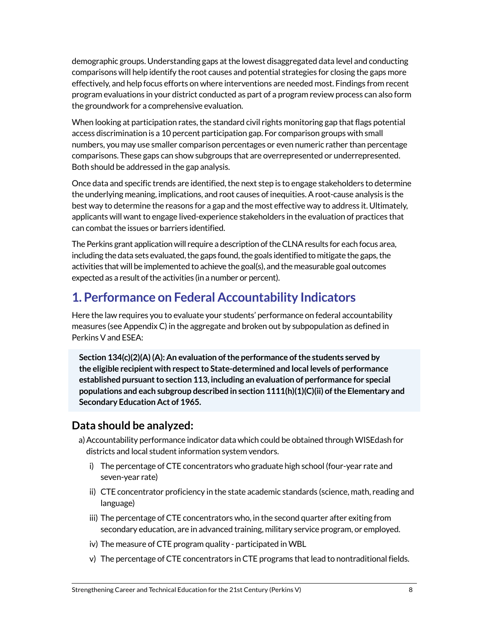demographic groups. Understanding gaps at the lowest disaggregated data level and conducting comparisons will help identify the root causes and potential strategies for closing the gaps more effectively, and help focus efforts on where interventions are needed most. Findings from recent program evaluations in your district conducted as part of a program review process can also form the groundwork for a comprehensive evaluation.

When looking at participation rates, the standard civil rights monitoring gap that flags potential access discrimination is a 10 percent participation gap. For comparison groups with small numbers, you may use smaller comparison percentages or even numeric rather than percentage comparisons. These gaps can show subgroups that are overrepresented or underrepresented. Both should be addressed in the gap analysis.

Once data and specific trends are identified, the next step is to engage stakeholders to determine the underlying meaning, implications, and root causes of inequities. A root-cause analysis is the best way to determine the reasons for a gap and the most effective way to address it. Ultimately, applicants will want to engage lived-experience stakeholders in the evaluation of practices that can combat the issues or barriers identified.

The Perkins grant application will require a description of the CLNA results for each focus area, including the data sets evaluated, the gaps found, the goals identified to mitigate the gaps, the activities that will be implemented to achieve the goal(s), and the measurable goal outcomes expected as a result of the activities (in a number or percent).

## **1. Performance on Federal Accountability Indicators**

Here the law requires you to evaluate your students' performance on federal accountability measures (see Appendix C) in the aggregate and broken out by subpopulation as defined in Perkins V and ESEA:

**Section 134(c)(2)(A) (A): An evaluation of the performance of the students served by the eligible recipient with respect to State-determined and local levels of performance established pursuant to section 113, including an evaluation of performance for special populations and each subgroup described in section 1111(h)(1)(C)(ii) of the Elementary and Secondary Education Act of 1965.**

### **Data should be analyzed:**

- a) Accountability performance indicator data which could be obtained through WISE dash for districts and local student information system vendors.
	- i) The percentage of CTE concentrators who graduate high school (four-year rate and seven-year rate)
	- ii) CTE concentrator proficiency in the state academic standards (science, math, reading and language)
	- iii) The percentage of CTE concentrators who, in the second quarter after exiting from secondary education, are in advanced training, military service program, or employed.
	- iv) The measure of CTE program quality participated in WBL
	- v) The percentage of CTE concentrators in CTE programs that lead to nontraditional fields.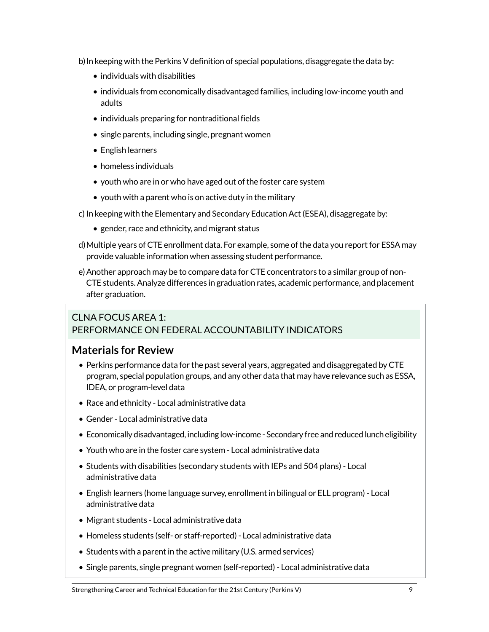b) In keeping with the Perkins V definition of special populations, disaggregate the data by:

- individuals with disabilities
- individuals from economically disadvantaged families, including low-income youth and adults
- individuals preparing for nontraditional fields
- single parents, including single, pregnant women
- English learners
- homeless individuals
- youth who are in or who have aged out of the foster care system
- youth with a parent who is on active duty in the military
- c) In keeping with the Elementary and Secondary Education Act (ESEA), disaggregate by:
	- gender, race and ethnicity, and migrant status
- d)Multiple years of CTE enrollment data. For example, some of the data you report for ESSA may provide valuable information when assessing student performance.
- e)Another approach may be to compare data for CTE concentrators to a similar group of non-CTE students. Analyze differences in graduation rates, academic performance, and placement after graduation.

#### CLNA FOCUS AREA 1: PERFORMANCE ON FEDERAL ACCOUNTABILITY INDICATORS

#### **Materials for Review**

- Perkins performance data for the past several years, aggregated and disaggregated by CTE program, special population groups, and any other data that may have relevance such as ESSA, IDEA, or program-level data
- Race and ethnicity Local administrative data
- Gender Local administrative data
- Economically disadvantaged, including low-income Secondary free and reduced lunch eligibility
- Youth who are in the foster care system Local administrative data
- Students with disabilities (secondary students with IEPs and 504 plans) Local administrative data
- English learners (home language survey, enrollment in bilingual or ELL program) Local administrative data
- Migrant students Local administrative data
- Homeless students (self- or staff-reported) Local administrative data
- Students with a parent in the active military (U.S. armed services)
- Single parents, single pregnant women (self-reported) Local administrative data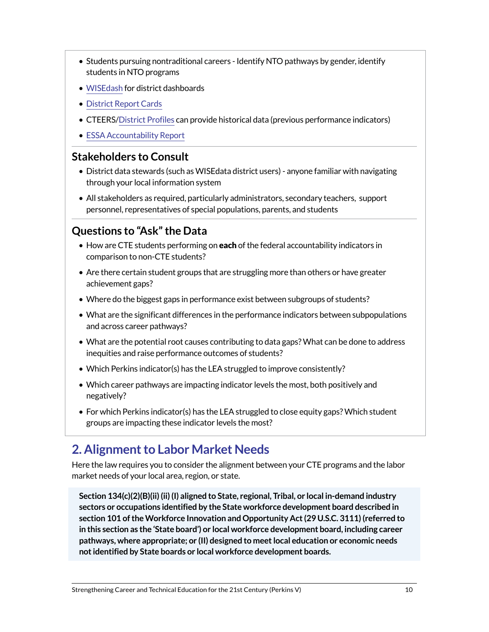- Students pursuing nontraditional careers Identify NTO pathways by gender, identify students in NTO programs
- [WISEdash](https://wisedash.dpi.wi.gov/Dashboard/dashboard/16840) for district dashboards
- [District Report Cards](https://dpi.wi.gov/accountability/report-cards)
- CTEERS/[District Profiles](https://dpi.wi.gov/cte/data/cteers/nto-profiles) can provide historical data (previous performance indicators)
- [ESSA Accountability Report](https://apps2.dpi.wi.gov/essa/home)

#### **Stakeholders to Consult**

- District data stewards (such as WISEdata district users) anyone familiar with navigating through your local information system
- All stakeholders as required, particularly administrators, secondary teachers, support personnel, representatives of special populations, parents, and students

### **Questions to "Ask" the Data**

- How are CTE students performing on each of the federal accountability indicators in comparison to non-CTE students?
- Are there certain student groups that are struggling more than others or have greater achievement gaps?
- Where do the biggest gaps in performance exist between subgroups of students?
- What are the significant differences in the performance indicators between subpopulations and across career pathways?
- What are the potential root causes contributing to data gaps? What can be done to address inequities and raise performance outcomes of students?
- Which Perkins indicator(s) has the LEA struggled to improve consistently?
- Which career pathways are impacting indicator levels the most, both positively and negatively?
- For which Perkins indicator(s) has the LEA struggled to close equity gaps? Which student groups are impacting these indicator levels the most?

## **2. Alignment to Labor Market Needs**

Here the law requires you to consider the alignment between your CTE programs and the labor market needs of your local area, region, or state.

**Section 134(c)(2)(B)(ii) (ii) (I) aligned to State, regional, Tribal, or local in-demand industry sectors or occupations identified by the State workforce development board described in section 101 of the Workforce Innovation and Opportunity Act (29 U.S.C. 3111) (referred to in this section as the 'State board') or local workforce development board, including career pathways, where appropriate; or (II) designed to meet local education or economic needs not identified by State boards or local workforce development boards.**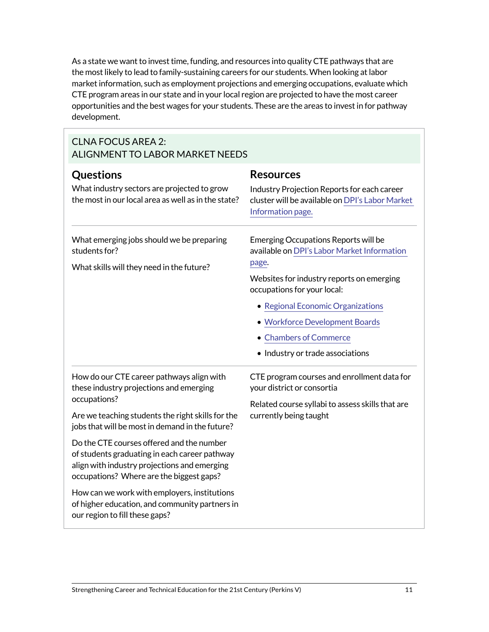As a state we want to invest time, funding, and resources into quality CTE pathways that are the most likely to lead to family-sustaining careers for our students. When looking at labor market information, such as employment projections and emerging occupations, evaluate which CTE program areas in our state and in your local region are projected to have the most career opportunities and the best wages for your students. These are the areas to invest in for pathway development.

#### CLNA FOCUS AREA 2: ALIGNMENT TO LABOR MARKET NEEDS

| Questions<br>What industry sectors are projected to grow<br>the most in our local area as well as in the state?                                                                        | <b>Resources</b><br>Industry Projection Reports for each career<br>cluster will be available on DPI's Labor Market<br>Information page.                                                                                                                                                                       |  |  |
|----------------------------------------------------------------------------------------------------------------------------------------------------------------------------------------|---------------------------------------------------------------------------------------------------------------------------------------------------------------------------------------------------------------------------------------------------------------------------------------------------------------|--|--|
| What emerging jobs should we be preparing<br>students for?<br>What skills will they need in the future?                                                                                | Emerging Occupations Reports will be<br>available on DPI's Labor Market Information<br>page.<br>Websites for industry reports on emerging<br>occupations for your local:<br>• Regional Economic Organizations<br>• Workforce Development Boards<br>• Chambers of Commerce<br>• Industry or trade associations |  |  |
| How do our CTE career pathways align with<br>these industry projections and emerging<br>occupations?                                                                                   | CTE program courses and enrollment data for<br>your district or consortia<br>Related course syllabi to assess skills that are<br>currently being taught                                                                                                                                                       |  |  |
| Are we teaching students the right skills for the<br>jobs that will be most in demand in the future?                                                                                   |                                                                                                                                                                                                                                                                                                               |  |  |
| Do the CTE courses offered and the number<br>of students graduating in each career pathway<br>align with industry projections and emerging<br>occupations? Where are the biggest gaps? |                                                                                                                                                                                                                                                                                                               |  |  |
| How can we work with employers, institutions<br>of higher education, and community partners in<br>our region to fill these gaps?                                                       |                                                                                                                                                                                                                                                                                                               |  |  |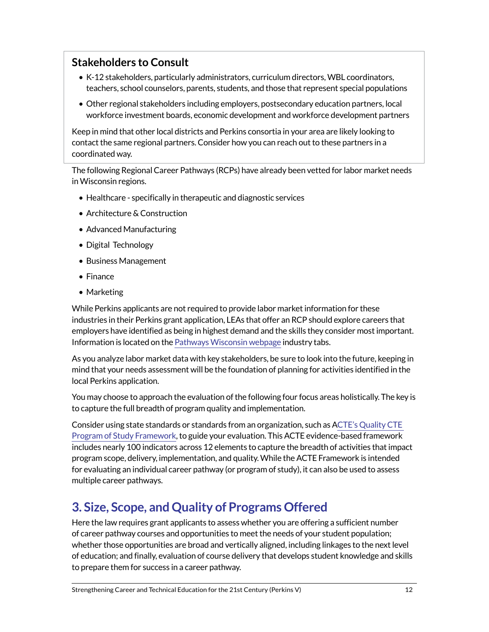### **Stakeholders to Consult**

- K-12 stakeholders, particularly administrators, curriculum directors, WBL coordinators, teachers, school counselors, parents, students, and those that represent special populations
- Other regional stakeholders including employers, postsecondary education partners, local workforce investment boards, economic development and workforce development partners

Keep in mind that other local districts and Perkins consortia in your area are likely looking to contact the same regional partners. Consider how you can reach out to these partners in a coordinated way.

The following Regional Career Pathways (RCPs) have already been vetted for labor market needs in Wisconsin regions.

- Healthcare specifically in therapeutic and diagnostic services
- Architecture & Construction
- Advanced Manufacturing
- Digital Technology
- Business Management
- Finance
- Marketing

While Perkins applicants are not required to provide labor market information for these industries in their Perkins grant application, LEAs that offer an RCP should explore careers that employers have identified as being in highest demand and the skills they consider most important. Information is located on the [Pathways Wisconsin webpage](https://dpi.wi.gov/pathways-wisconsin) industry tabs.

As you analyze labor market data with key stakeholders, be sure to look into the future, keeping in mind that your needs assessment will be the foundation of planning for activities identified in the local Perkins application.

You may choose to approach the evaluation of the following four focus areas holistically. The key is to capture the full breadth of program quality and implementation.

Consider using state standards or standards from an organization, such as A[CTE's Quality CTE](https://www.acteonline.org/professional-development/high-quality-cte-tools/)  [Program of Study Framework,](https://www.acteonline.org/professional-development/high-quality-cte-tools/) to guide your evaluation. This ACTE evidence-based framework includes nearly 100 indicators across 12 elements to capture the breadth of activities that impact program scope, delivery, implementation, and quality. While the ACTE Framework is intended for evaluating an individual career pathway (or program of study), it can also be used to assess multiple career pathways.

## **3. Size, Scope, and Quality of Programs Offered**

Here the law requires grant applicants to assess whether you are offering a sufficient number of career pathway courses and opportunities to meet the needs of your student population; whether those opportunities are broad and vertically aligned, including linkages to the next level of education; and finally, evaluation of course delivery that develops student knowledge and skills to prepare them for success in a career pathway.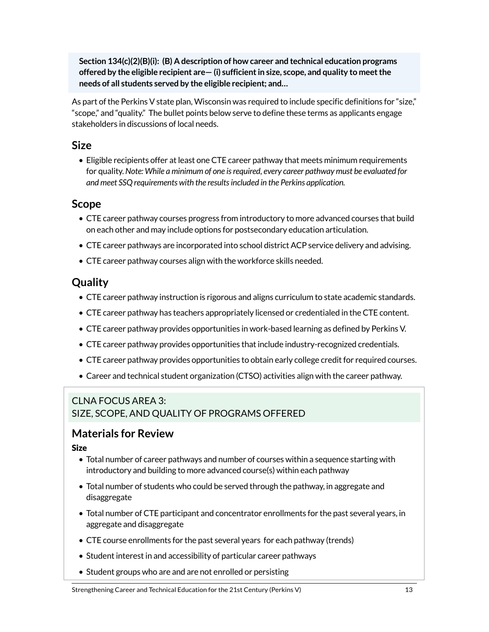**Section 134(c)(2)(B)(i): (B) A description of how career and technical education programs offered by the eligible recipient are— (i) sufficient in size, scope, and quality to meet the needs of all students served by the eligible recipient; and…**

As part of the Perkins V state plan, Wisconsin was required to include specific definitions for "size," "scope," and "quality." The bullet points below serve to define these terms as applicants engage stakeholders in discussions of local needs.

#### **Size**

• Eligible recipients offer at least one CTE career pathway that meets minimum requirements for quality. *Note: While a minimum of one is required, every career pathway must be evaluated for and meet SSQ requirements with the results included in the Perkins application.*

#### **Scope**

- CTE career pathway courses progress from introductory to more advanced courses that build on each other and may include options for postsecondary education articulation.
- CTE career pathways are incorporated into school district ACP service delivery and advising.
- CTE career pathway courses align with the workforce skills needed.

## **Quality**

- CTE career pathway instruction is rigorous and aligns curriculum to state academic standards.
- CTE career pathway has teachers appropriately licensed or credentialed in the CTE content.
- CTE career pathway provides opportunities in work-based learning as defined by Perkins V.
- CTE career pathway provides opportunities that include industry-recognized credentials.
- CTE career pathway provides opportunities to obtain early college credit for required courses.
- Career and technical student organization (CTSO) activities align with the career pathway.

#### CLNA FOCUS AREA 3: SIZE, SCOPE, AND QUALITY OF PROGRAMS OFFERED

## **Materials for Review**

#### Size

- Total number of career pathways and number of courses within a sequence starting with introductory and building to more advanced course(s) within each pathway
- Total number of students who could be served through the pathway, in aggregate and disaggregate
- Total number of CTE participant and concentrator enrollments for the past several years, in aggregate and disaggregate
- CTE course enrollments for the past several years for each pathway (trends)
- Student interest in and accessibility of particular career pathways
- Student groups who are and are not enrolled or persisting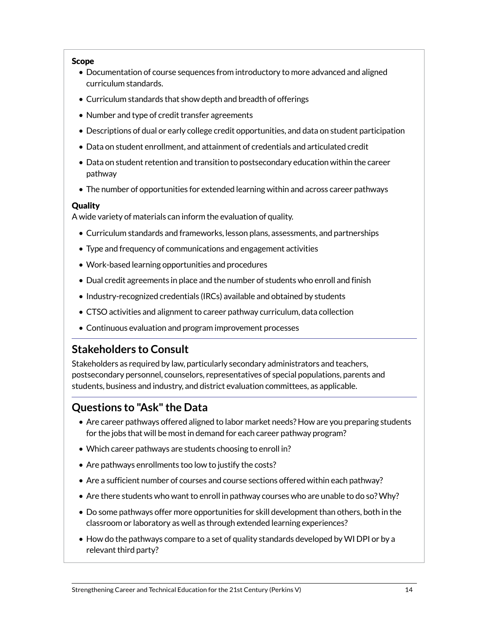#### Scope

- Documentation of course sequences from introductory to more advanced and aligned curriculum standards.
- Curriculum standards that show depth and breadth of offerings
- Number and type of credit transfer agreements
- Descriptions of dual or early college credit opportunities, and data on student participation
- Data on student enrollment, and attainment of credentials and articulated credit
- Data on student retention and transition to postsecondary education within the career pathway
- The number of opportunities for extended learning within and across career pathways

#### Quality

A wide variety of materials can inform the evaluation of quality.

- Curriculum standards and frameworks, lesson plans, assessments, and partnerships
- Type and frequency of communications and engagement activities
- Work-based learning opportunities and procedures
- Dual credit agreements in place and the number of students who enroll and finish
- Industry-recognized credentials (IRCs) available and obtained by students
- CTSO activities and alignment to career pathway curriculum, data collection
- Continuous evaluation and program improvement processes

### **Stakeholders to Consult**

Stakeholders as required by law, particularly secondary administrators and teachers, postsecondary personnel, counselors, representatives of special populations, parents and students, business and industry, and district evaluation committees, as applicable.

### **Questions to "Ask" the Data**

- Are career pathways offered aligned to labor market needs? How are you preparing students for the jobs that will be most in demand for each career pathway program?
- Which career pathways are students choosing to enroll in?
- Are pathways enrollments too low to justify the costs?
- Are a sufficient number of courses and course sections offered within each pathway?
- Are there students who want to enroll in pathway courses who are unable to do so? Why?
- Do some pathways offer more opportunities for skill development than others, both in the classroom or laboratory as well as through extended learning experiences?
- How do the pathways compare to a set of quality standards developed by WI DPI or by a relevant third party?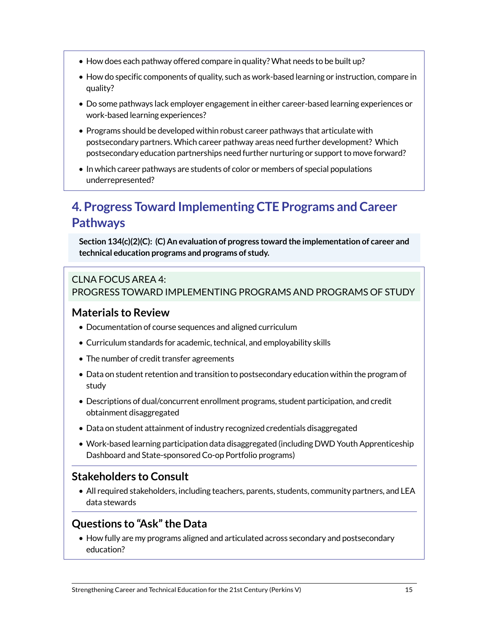- How does each pathway offered compare in quality? What needs to be built up?
- How do specific components of quality, such as work-based learning or instruction, compare in quality?
- Do some pathways lack employer engagement in either career-based learning experiences or work-based learning experiences?
- Programs should be developed within robust career pathways that articulate with postsecondary partners. Which career pathway areas need further development? Which postsecondary education partnerships need further nurturing or support to move forward?
- In which career pathways are students of color or members of special populations underrepresented?

# **4. Progress Toward Implementing CTE Programs and Career Pathways**

**Section 134(c)(2)(C): (C) An evaluation of progress toward the implementation of career and technical education programs and programs of study.**

#### CLNA FOCUS AREA 4: PROGRESS TOWARD IMPLEMENTING PROGRAMS AND PROGRAMS OF STUDY

#### **Materials to Review**

- Documentation of course sequences and aligned curriculum
- Curriculum standards for academic, technical, and employability skills
- The number of credit transfer agreements
- Data on student retention and transition to postsecondary education within the program of study
- Descriptions of dual/concurrent enrollment programs, student participation, and credit obtainment disaggregated
- Data on student attainment of industry recognized credentials disaggregated
- Work-based learning participation data disaggregated (including DWD Youth Apprenticeship Dashboard and State-sponsored Co-op Portfolio programs)

### **Stakeholders to Consult**

• All required stakeholders, including teachers, parents, students, community partners, and LEA data stewards

#### **Questions to "Ask" the Data**

• How fully are my programs aligned and articulated across secondary and postsecondary education?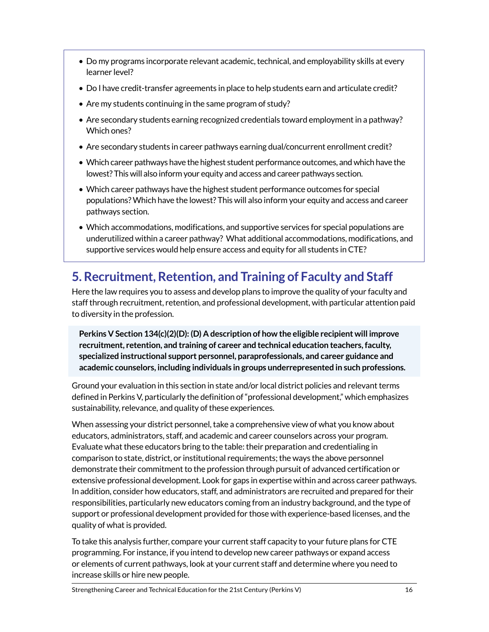- Do my programs incorporate relevant academic, technical, and employability skills at every learner level?
- Do I have credit-transfer agreements in place to help students earn and articulate credit?
- Are my students continuing in the same program of study?
- Are secondary students earning recognized credentials toward employment in a pathway? Which ones?
- Are secondary students in career pathways earning dual/concurrent enrollment credit?
- Which career pathways have the highest student performance outcomes, and which have the lowest? This will also inform your equity and access and career pathways section.
- Which career pathways have the highest student performance outcomes for special populations? Which have the lowest? This will also inform your equity and access and career pathways section.
- Which accommodations, modifications, and supportive services for special populations are underutilized within a career pathway? What additional accommodations, modifications, and supportive services would help ensure access and equity for all students in CTE?

# **5. Recruitment, Retention, and Training of Faculty and Staff**

Here the law requires you to assess and develop plans to improve the quality of your faculty and staff through recruitment, retention, and professional development, with particular attention paid to diversity in the profession.

**Perkins V Section 134(c)(2)(D): (D) A description of how the eligible recipient will improve recruitment, retention, and training of career and technical education teachers, faculty, specialized instructional support personnel, paraprofessionals, and career guidance and academic counselors, including individuals in groups underrepresented in such professions.**

Ground your evaluation in this section in state and/or local district policies and relevant terms defined in Perkins V, particularly the definition of "professional development," which emphasizes sustainability, relevance, and quality of these experiences.

When assessing your district personnel, take a comprehensive view of what you know about educators, administrators, staff, and academic and career counselors across your program. Evaluate what these educators bring to the table: their preparation and credentialing in comparison to state, district, or institutional requirements; the ways the above personnel demonstrate their commitment to the profession through pursuit of advanced certification or extensive professional development. Look for gaps in expertise within and across career pathways. In addition, consider how educators, staff, and administrators are recruited and prepared for their responsibilities, particularly new educators coming from an industry background, and the type of support or professional development provided for those with experience-based licenses, and the quality of what is provided.

To take this analysis further, compare your current staff capacity to your future plans for CTE programming. For instance, if you intend to develop new career pathways or expand access or elements of current pathways, look at your current staff and determine where you need to increase skills or hire new people.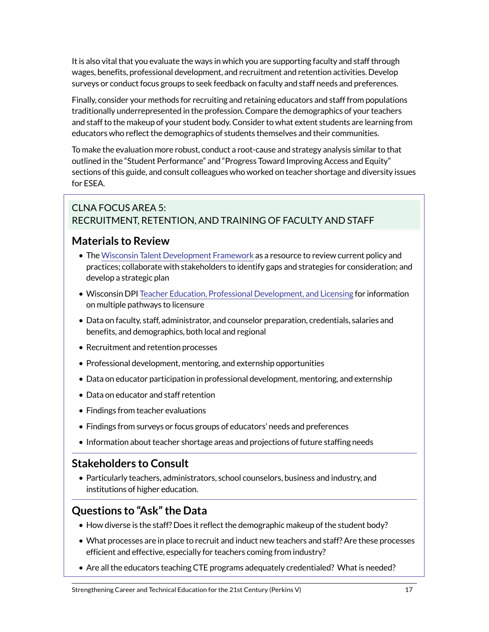It is also vital that you evaluate the ways in which you are supporting faculty and staff through wages, benefits, professional development, and recruitment and retention activities. Develop surveys or conduct focus groups to seek feedback on faculty and staff needs and preferences.

Finally, consider your methods for recruiting and retaining educators and staff from populations traditionally underrepresented in the profession. Compare the demographics of your teachers and staff to the makeup of your student body. Consider to what extent students are learning from educators who reflect the demographics of students themselves and their communities.

To make the evaluation more robust, conduct a root-cause and strategy analysis similar to that outlined in the "Student Performance" and "Progress Toward Improving Access and Equity" sections of this guide, and consult colleagues who worked on teacher shortage and diversity issues for ESEA.

### CLNA FOCUS AREA 5: RECRUITMENT, RETENTION, AND TRAINING OF FACULTY AND STAFF

### **Materials to Review**

- The [Wisconsin Talent Development Framework](https://dpi.wi.gov/licensing/programs/talent-dev-framework) as a resource to review current policy and practices; collaborate with stakeholders to identify gaps and strategies for consideration; and develop a strategic plan
- Wisconsin DPI [Teacher Education, Professional Development, and Licensing](https://dpi.wi.gov/licensing/pathways-licensure) for information on multiple pathways to licensure
- Data on faculty, staff, administrator, and counselor preparation, credentials, salaries and benefits, and demographics, both local and regional
- Recruitment and retention processes
- Professional development, mentoring, and externship opportunities
- Data on educator participation in professional development, mentoring, and externship
- Data on educator and staff retention
- Findings from teacher evaluations
- Findings from surveys or focus groups of educators' needs and preferences
- Information about teacher shortage areas and projections of future staffing needs

### **Stakeholders to Consult**

• Particularly teachers, administrators, school counselors, business and industry, and institutions of higher education.

### **Questions to "Ask" the Data**

- How diverse is the staff? Does it reflect the demographic makeup of the student body?
- What processes are in place to recruit and induct new teachers and staff? Are these processes efficient and effective, especially for teachers coming from industry?
- Are all the educators teaching CTE programs adequately credentialed? What is needed?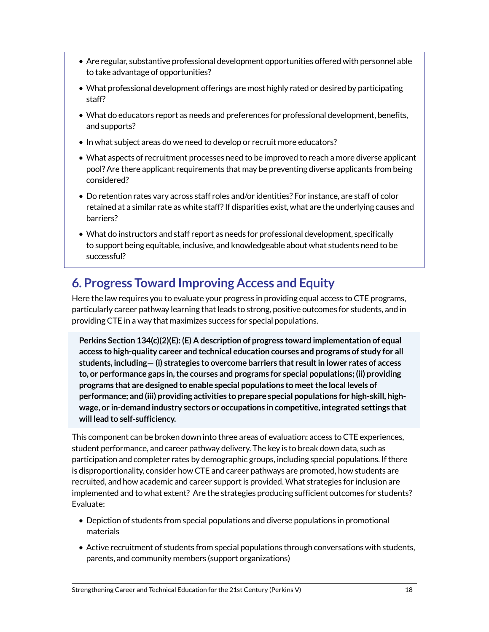- Are regular, substantive professional development opportunities offered with personnel able to take advantage of opportunities?
- What professional development offerings are most highly rated or desired by participating staff?
- What do educators report as needs and preferences for professional development, benefits, and supports?
- In what subject areas do we need to develop or recruit more educators?
- What aspects of recruitment processes need to be improved to reach a more diverse applicant pool? Are there applicant requirements that may be preventing diverse applicants from being considered?
- Do retention rates vary across staff roles and/or identities? For instance, are staff of color retained at a similar rate as white staff? If disparities exist, what are the underlying causes and barriers?
- What do instructors and staff report as needs for professional development, specifically to support being equitable, inclusive, and knowledgeable about what students need to be successful?

## **6. Progress Toward Improving Access and Equity**

Here the law requires you to evaluate your progress in providing equal access to CTE programs, particularly career pathway learning that leads to strong, positive outcomes for students, and in providing CTE in a way that maximizes success for special populations.

**Perkins Section 134(c)(2)(E): (E) A description of progress toward implementation of equal access to high-quality career and technical education courses and programs of study for all students, including— (i) strategies to overcome barriers that result in lower rates of access to, or performance gaps in, the courses and programs for special populations; (ii) providing programs that are designed to enable special populations to meet the local levels of performance; and (iii) providing activities to prepare special populations for high-skill, highwage, or in-demand industry sectors or occupations in competitive, integrated settings that will lead to self-sufficiency.**

This component can be broken down into three areas of evaluation: access to CTE experiences, student performance, and career pathway delivery. The key is to break down data, such as participation and completer rates by demographic groups, including special populations. If there is disproportionality, consider how CTE and career pathways are promoted, how students are recruited, and how academic and career support is provided. What strategies for inclusion are implemented and to what extent? Are the strategies producing sufficient outcomes for students? Evaluate:

- Depiction of students from special populations and diverse populations in promotional materials
- Active recruitment of students from special populations through conversations with students, parents, and community members (support organizations)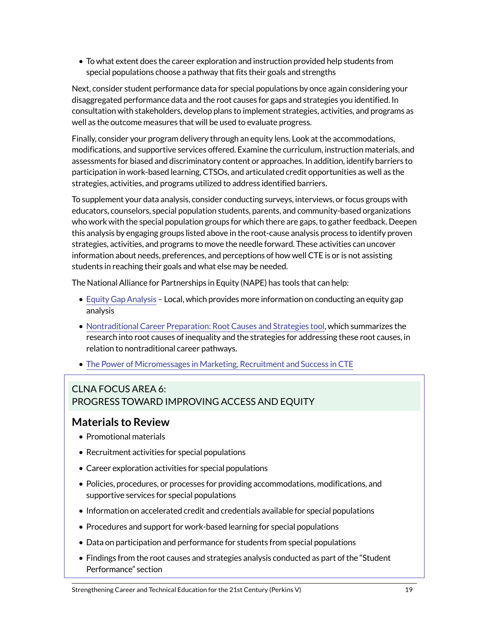• To what extent does the career exploration and instruction provided help students from special populations choose a pathway that fits their goals and strengths

Next, consider student performance data for special populations by once again considering your disaggregated performance data and the root causes for gaps and strategies you identified. In consultation with stakeholders, develop plans to implement strategies, activities, and programs as well as the outcome measures that will be used to evaluate progress.

Finally, consider your program delivery through an equity lens. Look at the accommodations, modifications, and supportive services offered. Examine the curriculum, instruction materials, and assessments for biased and discriminatory content or approaches. In addition, identify barriers to participation in work-based learning, CTSOs, and articulated credit opportunities as well as the strategies, activities, and programs utilized to address identified barriers.

To supplement your data analysis, consider conducting surveys, interviews, or focus groups with educators, counselors, special population students, parents, and community-based organizations who work with the special population groups for which there are gaps, to gather feedback. Deepen this analysis by engaging groups listed above in the root-cause analysis process to identify proven strategies, activities, and programs to move the needle forward. These activities can uncover information about needs, preferences, and perceptions of how well CTE is or is not assisting students in reaching their goals and what else may be needed.

The National Alliance for Partnerships in Equity (NAPE) has tools that can help:

- [Equity Gap Analysis](https://www.napequity.org/public-policy/frontline-legislation/strengthening-career-and-technical-education-for-the-21st-century-act/)  Local, which provides more information on conducting an equity gap analysis
- [Nontraditional Career Preparation: Root Causes and Strategies tool,](https://www.napequity.org/root/) which summarizes the research into root causes of inequality and the strategies for addressing these root causes, in relation to nontraditional career pathways.
- [The Power of Micromessages in Marketing, Recruitment and Success in CTE](https://napequity.org/wp-content/uploads/Power-of-Micromessages-in-Marketing_NAPE_Williams_ACTETechniques_Feb18-web.pdf)

#### CLNA FOCUS AREA 6: PROGRESS TOWARD IMPROVING ACCESS AND EQUITY

### **Materials to Review**

- Promotional materials
- Recruitment activities for special populations
- Career exploration activities for special populations
- Policies, procedures, or processes for providing accommodations, modifications, and supportive services for special populations
- Information on accelerated credit and credentials available for special populations
- Procedures and support for work-based learning for special populations
- Data on participation and performance for students from special populations
- Findings from the root causes and strategies analysis conducted as part of the "Student Performance" section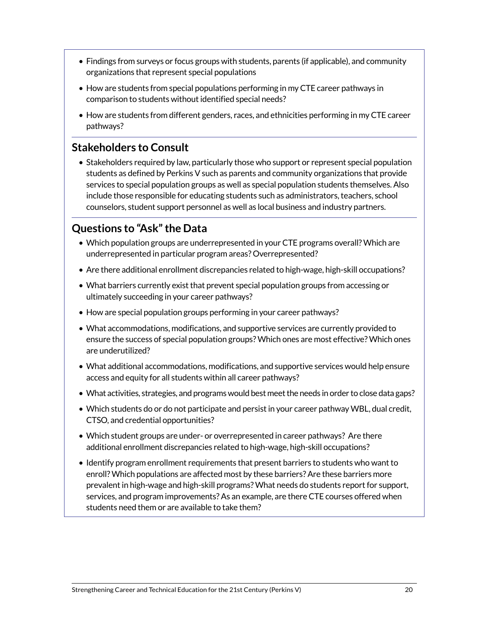- Findings from surveys or focus groups with students, parents (if applicable), and community organizations that represent special populations
- How are students from special populations performing in my CTE career pathways in comparison to students without identified special needs?
- How are students from different genders, races, and ethnicities performing in my CTE career pathways?

#### **Stakeholders to Consult**

• Stakeholders required by law, particularly those who support or represent special population students as defined by Perkins V such as parents and community organizations that provide services to special population groups as well as special population students themselves. Also include those responsible for educating students such as administrators, teachers, school counselors, student support personnel as well as local business and industry partners.

### **Questions to "Ask" the Data**

- Which population groups are underrepresented in your CTE programs overall? Which are underrepresented in particular program areas? Overrepresented?
- Are there additional enrollment discrepancies related to high-wage, high-skill occupations?
- What barriers currently exist that prevent special population groups from accessing or ultimately succeeding in your career pathways?
- How are special population groups performing in your career pathways?
- What accommodations, modifications, and supportive services are currently provided to ensure the success of special population groups? Which ones are most effective? Which ones are underutilized?
- What additional accommodations, modifications, and supportive services would help ensure access and equity for all students within all career pathways?
- What activities, strategies, and programs would best meet the needs in order to close data gaps?
- Which students do or do not participate and persist in your career pathway WBL, dual credit, CTSO, and credential opportunities?
- Which student groups are under- or overrepresented in career pathways? Are there additional enrollment discrepancies related to high-wage, high-skill occupations?
- Identify program enrollment requirements that present barriers to students who want to enroll? Which populations are affected most by these barriers? Are these barriers more prevalent in high-wage and high-skill programs? What needs do students report for support, services, and program improvements? As an example, are there CTE courses offered when students need them or are available to take them?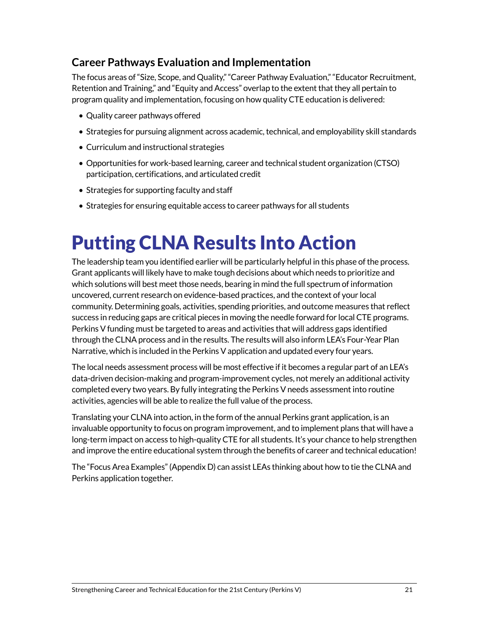## **Career Pathways Evaluation and Implementation**

The focus areas of "Size, Scope, and Quality," "Career Pathway Evaluation," "Educator Recruitment, Retention and Training," and "Equity and Access" overlap to the extent that they all pertain to program quality and implementation, focusing on how quality CTE education is delivered:

- Quality career pathways offered
- Strategies for pursuing alignment across academic, technical, and employability skill standards
- Curriculum and instructional strategies
- Opportunities for work-based learning, career and technical student organization (CTSO) participation, certifications, and articulated credit
- Strategies for supporting faculty and staff
- Strategies for ensuring equitable access to career pathways for all students

# Putting CLNA Results Into Action

The leadership team you identified earlier will be particularly helpful in this phase of the process. Grant applicants will likely have to make tough decisions about which needs to prioritize and which solutions will best meet those needs, bearing in mind the full spectrum of information uncovered, current research on evidence-based practices, and the context of your local community. Determining goals, activities, spending priorities, and outcome measures that reflect success in reducing gaps are critical pieces in moving the needle forward for local CTE programs. Perkins V funding must be targeted to areas and activities that will address gaps identified through the CLNA process and in the results. The results will also inform LEA's Four-Year Plan Narrative, which is included in the Perkins V application and updated every four years.

The local needs assessment process will be most effective if it becomes a regular part of an LEA's data-driven decision-making and program-improvement cycles, not merely an additional activity completed every two years. By fully integrating the Perkins V needs assessment into routine activities, agencies will be able to realize the full value of the process.

Translating your CLNA into action, in the form of the annual Perkins grant application, is an invaluable opportunity to focus on program improvement, and to implement plans that will have a long-term impact on access to high-quality CTE for all students. It's your chance to help strengthen and improve the entire educational system through the benefits of career and technical education!

The "Focus Area Examples" (Appendix D) can assist LEAs thinking about how to tie the CLNA and Perkins application together.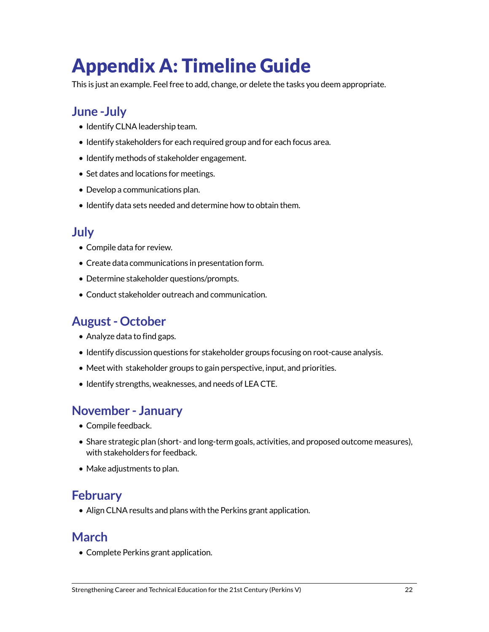# Appendix A: Timeline Guide

This is just an example. Feel free to add, change, or delete the tasks you deem appropriate.

## **June -July**

- Identify CLNA leadership team.
- Identify stakeholders for each required group and for each focus area.
- Identify methods of stakeholder engagement.
- Set dates and locations for meetings.
- Develop a communications plan.
- Identify data sets needed and determine how to obtain them.

## **July**

- Compile data for review.
- Create data communications in presentation form.
- Determine stakeholder questions/prompts.
- Conduct stakeholder outreach and communication.

## **August - October**

- Analyze data to find gaps.
- Identify discussion questions for stakeholder groups focusing on root-cause analysis.
- Meet with stakeholder groups to gain perspective, input, and priorities.
- Identify strengths, weaknesses, and needs of LEA CTE.

## **November - January**

- Compile feedback.
- Share strategic plan (short- and long-term goals, activities, and proposed outcome measures), with stakeholders for feedback.
- Make adjustments to plan.

## **February**

• Align CLNA results and plans with the Perkins grant application.

## **March**

• Complete Perkins grant application.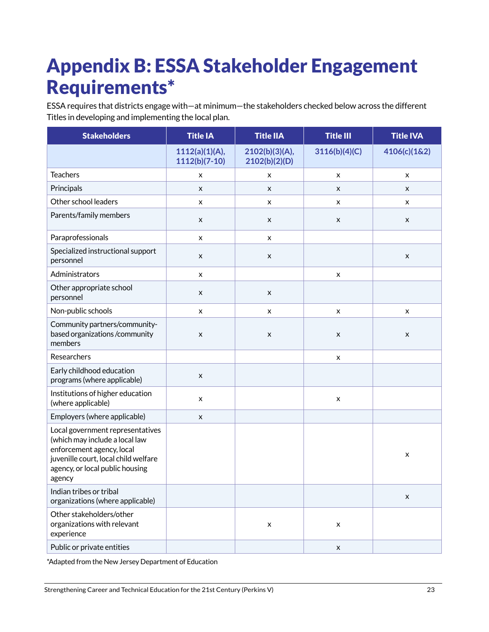# Appendix B: ESSA Stakeholder Engagement Requirements\*

ESSA requires that districts engage with—at minimum—the stakeholders checked below across the different Titles in developing and implementing the local plan.

| <b>Stakeholders</b>                                                                                                                                                                  | <b>Title IA</b>                   | <b>Title IIA</b>                | <b>Title III</b>   | <b>Title IVA</b>   |
|--------------------------------------------------------------------------------------------------------------------------------------------------------------------------------------|-----------------------------------|---------------------------------|--------------------|--------------------|
|                                                                                                                                                                                      | 1112(a)(1)(A),<br>$1112(b)(7-10)$ | 2102(b)(3)(A),<br>2102(b)(2)(D) | 3116(b)(4)(C)      | 4106(c)(1&2)       |
| <b>Teachers</b>                                                                                                                                                                      | x                                 | x                               | $\pmb{\times}$     | x                  |
| Principals                                                                                                                                                                           | X                                 | X                               | X                  | X                  |
| Other school leaders                                                                                                                                                                 | x                                 | x                               | x                  | x                  |
| Parents/family members                                                                                                                                                               | $\pmb{\times}$                    | $\pmb{\times}$                  | X                  | X                  |
| Paraprofessionals                                                                                                                                                                    | x                                 | x                               |                    |                    |
| Specialized instructional support<br>personnel                                                                                                                                       | $\pmb{\times}$                    | $\pmb{\times}$                  |                    | $\pmb{\times}$     |
| Administrators                                                                                                                                                                       | x                                 |                                 | x                  |                    |
| Other appropriate school<br>personnel                                                                                                                                                | X                                 | X                               |                    |                    |
| Non-public schools                                                                                                                                                                   | $\pmb{\times}$                    | $\pmb{\times}$                  | $\pmb{\times}$     | x                  |
| Community partners/community-<br>based organizations /community<br>members                                                                                                           | $\pmb{\mathsf{X}}$                | $\pmb{\times}$                  | $\pmb{\mathsf{X}}$ | $\pmb{\mathsf{X}}$ |
| Researchers                                                                                                                                                                          |                                   |                                 | x                  |                    |
| Early childhood education<br>programs (where applicable)                                                                                                                             | $\pmb{\times}$                    |                                 |                    |                    |
| Institutions of higher education<br>(where applicable)                                                                                                                               | $\pmb{\times}$                    |                                 | $\pmb{\times}$     |                    |
| Employers (where applicable)                                                                                                                                                         | X                                 |                                 |                    |                    |
| Local government representatives<br>(which may include a local law<br>enforcement agency, local<br>juvenille court, local child welfare<br>agency, or local public housing<br>agency |                                   |                                 |                    | $\pmb{\times}$     |
| Indian tribes or tribal<br>organizations (where applicable)                                                                                                                          |                                   |                                 |                    | $\pmb{\times}$     |
| Other stakeholders/other<br>organizations with relevant<br>experience                                                                                                                |                                   | X                               | $\pmb{\times}$     |                    |
| Public or private entities                                                                                                                                                           |                                   |                                 | X                  |                    |

\*Adapted from the New Jersey Department of Education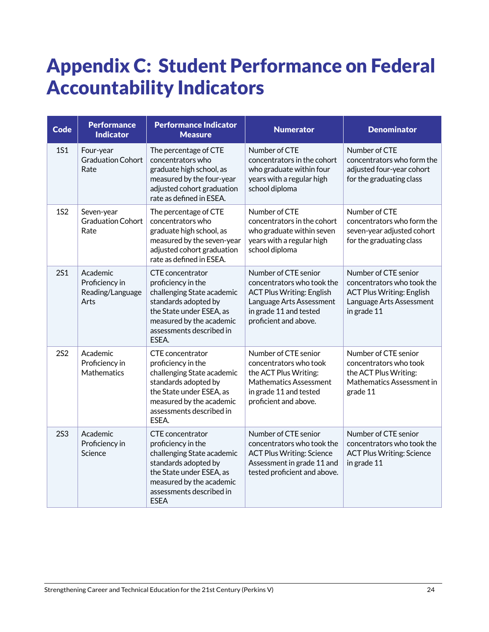# Appendix C: Student Performance on Federal Accountability Indicators

| <b>Code</b> | <b>Performance</b><br><b>Indicator</b>                 | <b>Performance Indicator</b><br><b>Measure</b>                                                                                                                                                   | <b>Numerator</b>                                                                                                                                                      | <b>Denominator</b>                                                                                                                |
|-------------|--------------------------------------------------------|--------------------------------------------------------------------------------------------------------------------------------------------------------------------------------------------------|-----------------------------------------------------------------------------------------------------------------------------------------------------------------------|-----------------------------------------------------------------------------------------------------------------------------------|
| <b>1S1</b>  | Four-year<br><b>Graduation Cohort</b><br>Rate          | The percentage of CTE<br>concentrators who<br>graduate high school, as<br>measured by the four-year<br>adjusted cohort graduation<br>rate as defined in ESEA.                                    | Number of CTE<br>concentrators in the cohort<br>who graduate within four<br>years with a regular high<br>school diploma                                               | Number of CTE<br>concentrators who form the<br>adjusted four-year cohort<br>for the graduating class                              |
| <b>1S2</b>  | Seven-year<br><b>Graduation Cohort</b><br>Rate         | The percentage of CTE<br>concentrators who<br>graduate high school, as<br>measured by the seven-year<br>adjusted cohort graduation<br>rate as defined in ESEA.                                   | Number of CTE<br>concentrators in the cohort<br>who graduate within seven<br>years with a regular high<br>school diploma                                              | Number of CTE<br>concentrators who form the<br>seven-year adjusted cohort<br>for the graduating class                             |
| <b>2S1</b>  | Academic<br>Proficiency in<br>Reading/Language<br>Arts | CTE concentrator<br>proficiency in the<br>challenging State academic<br>standards adopted by<br>the State under ESEA, as<br>measured by the academic<br>assessments described in<br>ESEA.        | Number of CTE senior<br>concentrators who took the<br><b>ACT Plus Writing: English</b><br>Language Arts Assessment<br>in grade 11 and tested<br>proficient and above. | Number of CTE senior<br>concentrators who took the<br><b>ACT Plus Writing: English</b><br>Language Arts Assessment<br>in grade 11 |
| <b>2S2</b>  | Academic<br>Proficiency in<br>Mathematics              | <b>CTE</b> concentrator<br>proficiency in the<br>challenging State academic<br>standards adopted by<br>the State under ESEA, as<br>measured by the academic<br>assessments described in<br>ESEA. | Number of CTE senior<br>concentrators who took<br>the ACT Plus Writing:<br>Mathematics Assessment<br>in grade 11 and tested<br>proficient and above.                  | Number of CTE senior<br>concentrators who took<br>the ACT Plus Writing:<br>Mathematics Assessment in<br>grade 11                  |
| <b>2S3</b>  | Academic<br>Proficiency in<br>Science                  | CTE concentrator<br>proficiency in the<br>challenging State academic<br>standards adopted by<br>the State under ESEA, as<br>measured by the academic<br>assessments described in<br><b>ESEA</b>  | Number of CTE senior<br>concentrators who took the<br><b>ACT Plus Writing: Science</b><br>Assessment in grade 11 and<br>tested proficient and above.                  | Number of CTE senior<br>concentrators who took the<br><b>ACT Plus Writing: Science</b><br>in grade 11                             |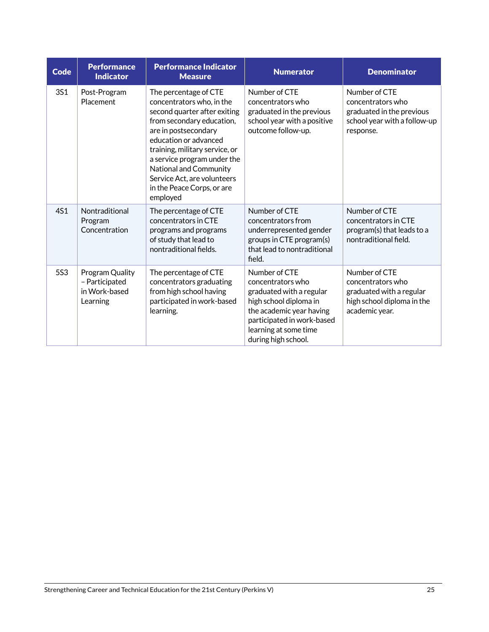| <b>Code</b> | <b>Performance</b><br><b>Indicator</b>                         | <b>Performance Indicator</b><br><b>Measure</b>                                                                                                                                                                                                                                                                                       | <b>Numerator</b>                                                                                                                                                                                   | <b>Denominator</b>                                                                                             |
|-------------|----------------------------------------------------------------|--------------------------------------------------------------------------------------------------------------------------------------------------------------------------------------------------------------------------------------------------------------------------------------------------------------------------------------|----------------------------------------------------------------------------------------------------------------------------------------------------------------------------------------------------|----------------------------------------------------------------------------------------------------------------|
| 3S1         | Post-Program<br>Placement                                      | The percentage of CTE<br>concentrators who, in the<br>second quarter after exiting<br>from secondary education,<br>are in postsecondary<br>education or advanced<br>training, military service, or<br>a service program under the<br>National and Community<br>Service Act, are volunteers<br>in the Peace Corps, or are<br>employed | Number of CTE<br>concentrators who<br>graduated in the previous<br>school year with a positive<br>outcome follow-up.                                                                               | Number of CTE<br>concentrators who<br>graduated in the previous<br>school year with a follow-up<br>response.   |
| 4S1         | Nontraditional<br>Program<br>Concentration                     | The percentage of CTE<br>concentrators in CTE<br>programs and programs<br>of study that lead to<br>nontraditional fields.                                                                                                                                                                                                            | Number of CTE<br>concentrators from<br>underrepresented gender<br>groups in CTE program(s)<br>that lead to nontraditional<br>field.                                                                | Number of CTE<br>concentrators in CTE<br>program(s) that leads to a<br>nontraditional field.                   |
| <b>5S3</b>  | Program Quality<br>- Participated<br>in Work-based<br>Learning | The percentage of CTE<br>concentrators graduating<br>from high school having<br>participated in work-based<br>learning.                                                                                                                                                                                                              | Number of CTE<br>concentrators who<br>graduated with a regular<br>high school diploma in<br>the academic year having<br>participated in work-based<br>learning at some time<br>during high school. | Number of CTE<br>concentrators who<br>graduated with a regular<br>high school diploma in the<br>academic year. |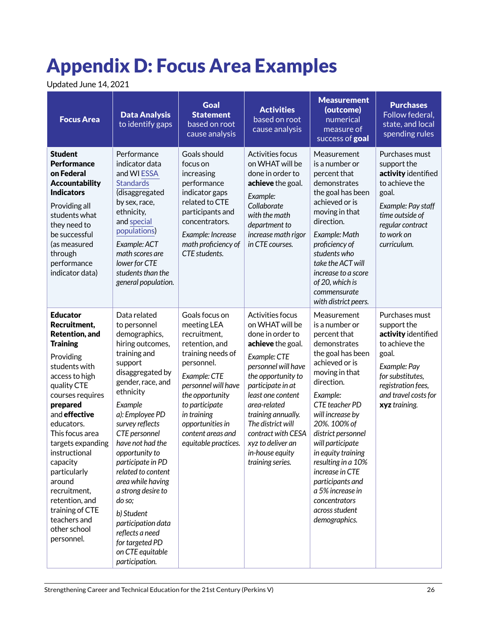# Appendix D: Focus Area Examples

Updated June 14, 2021

| <b>Focus Area</b>                                                                                                                                                                                                                                                                                                                                                                                           | <b>Data Analysis</b><br>to identify gaps                                                                                                                                                                                                                                                                                                                                                                                                                                   | <b>Goal</b><br><b>Statement</b><br>based on root<br>cause analysis                                                                                                                                                                                             | <b>Activities</b><br>based on root<br>cause analysis                                                                                                                                                                                                                                                                             | <b>Measurement</b><br>(outcome)<br>numerical<br>measure of<br>success of goal                                                                                                                                                                                                                                                                                                                               | <b>Purchases</b><br>Follow federal,<br>state, and local<br>spending rules                                                                                                          |
|-------------------------------------------------------------------------------------------------------------------------------------------------------------------------------------------------------------------------------------------------------------------------------------------------------------------------------------------------------------------------------------------------------------|----------------------------------------------------------------------------------------------------------------------------------------------------------------------------------------------------------------------------------------------------------------------------------------------------------------------------------------------------------------------------------------------------------------------------------------------------------------------------|----------------------------------------------------------------------------------------------------------------------------------------------------------------------------------------------------------------------------------------------------------------|----------------------------------------------------------------------------------------------------------------------------------------------------------------------------------------------------------------------------------------------------------------------------------------------------------------------------------|-------------------------------------------------------------------------------------------------------------------------------------------------------------------------------------------------------------------------------------------------------------------------------------------------------------------------------------------------------------------------------------------------------------|------------------------------------------------------------------------------------------------------------------------------------------------------------------------------------|
| <b>Student</b><br><b>Performance</b><br>on Federal<br><b>Accountability</b><br><b>Indicators</b><br>Providing all<br>students what<br>they need to<br>be successful<br>(as measured<br>through<br>performance<br>indicator data)                                                                                                                                                                            | Performance<br>indicator data<br>and WI ESSA<br><b>Standards</b><br>(disaggregated<br>by sex, race,<br>ethnicity,<br>and special<br>populations)<br>Example: ACT<br>math scores are<br>lower for CTE<br>students than the<br>general population.                                                                                                                                                                                                                           | Goals should<br>focus on<br>increasing<br>performance<br>indicator gaps<br>related to CTE<br>participants and<br>concentrators.<br>Example: Increase<br>math proficiency of<br>CTE students.                                                                   | Activities focus<br>on WHAT will be<br>done in order to<br>achieve the goal.<br>Example:<br>Collaborate<br>with the math<br>department to<br>increase math rigor<br>in CTE courses.                                                                                                                                              | Measurement<br>is a number or<br>percent that<br>demonstrates<br>the goal has been<br>achieved or is<br>moving in that<br>direction.<br>Example: Math<br>proficiency of<br>students who<br>take the ACT will<br>increase to a score<br>of 20, which is<br>commensurate<br>with district peers.                                                                                                              | Purchases must<br>support the<br>activity identified<br>to achieve the<br>goal.<br>Example: Pay staff<br>time outside of<br>regular contract<br>to work on<br>curriculum.          |
| <b>Educator</b><br>Recruitment,<br><b>Retention, and</b><br><b>Training</b><br>Providing<br>students with<br>access to high<br>quality CTE<br>courses requires<br>prepared<br>and effective<br>educators.<br>This focus area<br>targets expanding<br>instructional<br>capacity<br>particularly<br>around<br>recruitment,<br>retention, and<br>training of CTE<br>teachers and<br>other school<br>personnel. | Data related<br>to personnel<br>demographics,<br>hiring outcomes,<br>training and<br>support<br>disaggregated by<br>gender, race, and<br>ethnicity<br>Example<br>a): Employee PD<br>survey reflects<br>CTE personnel<br>have not had the<br>opportunity to<br>participate in PD<br>related to content<br>area while having<br>a strong desire to<br>do so;<br>b) Student<br>participation data<br>reflects a need<br>for targeted PD<br>on CTE equitable<br>participation. | Goals focus on<br>meeting LEA<br>recruitment,<br>retention, and<br>training needs of<br>personnel.<br>Example: CTE<br>personnel will have<br>the opportunity<br>to participate<br>in training<br>opportunities in<br>content areas and<br>equitable practices. | Activities focus<br>on WHAT will be<br>done in order to<br>achieve the goal.<br>Example: CTE<br>personnel will have<br>the opportunity to<br>participate in at<br>least one content<br>area-related<br>training annually.<br>The district will<br>contract with CESA<br>xyz to deliver an<br>in-house equity<br>training series. | Measurement<br>is a number or<br>percent that<br>demonstrates<br>the goal has been<br>achieved or is<br>moving in that<br>direction.<br>Example:<br>CTE teacher PD<br>will increase by<br>20%. 100% of<br>district personnel<br>will participate<br>in equity training<br>resulting in a 10%<br>increase in CTE<br>participants and<br>a 5% increase in<br>concentrators<br>across student<br>demographics. | Purchases must<br>support the<br>activity identified<br>to achieve the<br>goal.<br>Example: Pay<br>for substitutes,<br>registration fees,<br>and travel costs for<br>xyz training. |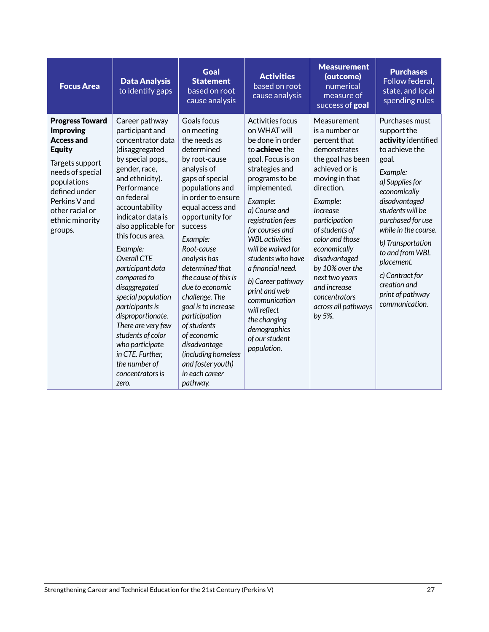| <b>Focus Area</b>                                                                                                                                                                                                         | <b>Data Analysis</b><br>to identify gaps                                                                                                                                                                                                                                                                                                                                                                                                                                                                                      | Goal<br><b>Statement</b><br>based on root<br>cause analysis                                                                                                                                                                                                                                                                                                                                                                                                                                            | <b>Activities</b><br>based on root<br>cause analysis                                                                                                                                                                                                                                                                                                                                                                                                         | <b>Measurement</b><br>(outcome)<br>numerical<br>measure of<br>success of goal                                                                                                                                                                                                                                                                                                       | <b>Purchases</b><br>Follow federal,<br>state, and local<br>spending rules                                                                                                                                                                                                                                                                       |
|---------------------------------------------------------------------------------------------------------------------------------------------------------------------------------------------------------------------------|-------------------------------------------------------------------------------------------------------------------------------------------------------------------------------------------------------------------------------------------------------------------------------------------------------------------------------------------------------------------------------------------------------------------------------------------------------------------------------------------------------------------------------|--------------------------------------------------------------------------------------------------------------------------------------------------------------------------------------------------------------------------------------------------------------------------------------------------------------------------------------------------------------------------------------------------------------------------------------------------------------------------------------------------------|--------------------------------------------------------------------------------------------------------------------------------------------------------------------------------------------------------------------------------------------------------------------------------------------------------------------------------------------------------------------------------------------------------------------------------------------------------------|-------------------------------------------------------------------------------------------------------------------------------------------------------------------------------------------------------------------------------------------------------------------------------------------------------------------------------------------------------------------------------------|-------------------------------------------------------------------------------------------------------------------------------------------------------------------------------------------------------------------------------------------------------------------------------------------------------------------------------------------------|
| <b>Progress Toward</b><br><b>Improving</b><br><b>Access and</b><br><b>Equity</b><br>Targets support<br>needs of special<br>populations<br>defined under<br>Perkins V and<br>other racial or<br>ethnic minority<br>groups. | Career pathway<br>participant and<br>concentrator data<br>(disaggregated<br>by special pops.,<br>gender, race,<br>and ethnicity).<br>Performance<br>on federal<br>accountability<br>indicator data is<br>also applicable for<br>this focus area.<br>Example:<br>Overall CTF<br>participant data<br>compared to<br>disaggregated<br>special population<br>participants is<br>disproportionate.<br>There are very few<br>students of color<br>who participate<br>in CTE. Further,<br>the number of<br>concentrators is<br>zero. | Goals focus<br>on meeting<br>the needs as<br>determined<br>by root-cause<br>analysis of<br>gaps of special<br>populations and<br>in order to ensure<br>equal access and<br>opportunity for<br><b>SUCCESS</b><br>Example:<br>Root-cause<br>analysis has<br>determined that<br>the cause of this is<br>due to economic<br>challenge. The<br>goal is to increase<br>participation<br>of students<br>of economic<br>disadvantage<br>(including homeless<br>and foster youth)<br>in each career<br>pathway. | Activities focus<br>on WHAT will<br>be done in order<br>to <b>achieve</b> the<br>goal. Focus is on<br>strategies and<br>programs to be<br>implemented.<br>Example:<br>a) Course and<br>registration fees<br>for courses and<br><b>WBI</b> activities<br>will be waived for<br>students who have<br>a financial need.<br>b) Career pathway<br>print and web<br>communication<br>will reflect<br>the changing<br>demographics<br>of our student<br>population. | Measurement<br>is a number or<br>percent that<br>demonstrates<br>the goal has been<br>achieved or is<br>moving in that<br>direction.<br>Example:<br><i><u><b>Increase</b></u></i><br>participation<br>of students of<br>color and those<br>economically<br>disadvantaged<br>by 10% over the<br>next two years<br>and increase<br>concentrators<br>across all pathways<br>by $5\%$ . | Purchases must<br>support the<br>activity identified<br>to achieve the<br>goal.<br>Example:<br>a) Supplies for<br>economically<br>disadvantaged<br>students will be<br>purchased for use<br>while in the course.<br>b) Transportation<br>to and from WBL<br>placement.<br>c) Contract for<br>creation and<br>print of pathway<br>communication. |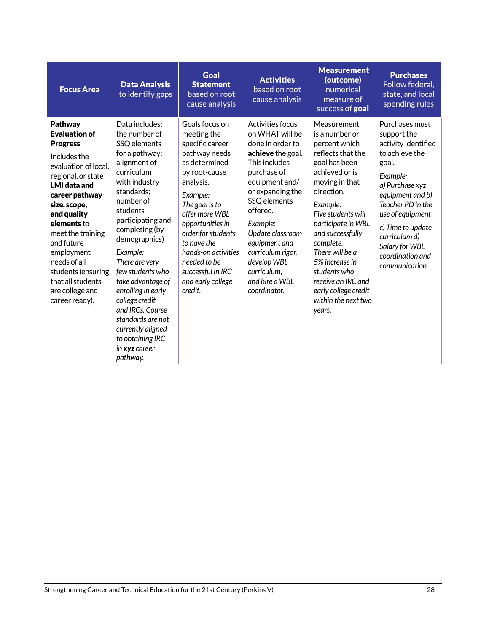| <b>Focus Area</b>                                                                                                                                                                                                                                                                                                                                        | <b>Data Analysis</b><br>to identify gaps                                                                                                                                                                                                                                                                                                                                                                                                      | <b>Goal</b><br><b>Statement</b><br>based on root<br>cause analysis                                                                                                                                                                                                                                                    | <b>Activities</b><br>based on root<br>cause analysis                                                                                                                                                                                                                                                                 | <b>Measurement</b><br>(outcome)<br>numerical<br>measure of<br>success of goal                                                                                                                                                                                                                                                                                       | <b>Purchases</b><br>Follow federal.<br>state, and local<br>spending rules                                                                                                                                                                                                |
|----------------------------------------------------------------------------------------------------------------------------------------------------------------------------------------------------------------------------------------------------------------------------------------------------------------------------------------------------------|-----------------------------------------------------------------------------------------------------------------------------------------------------------------------------------------------------------------------------------------------------------------------------------------------------------------------------------------------------------------------------------------------------------------------------------------------|-----------------------------------------------------------------------------------------------------------------------------------------------------------------------------------------------------------------------------------------------------------------------------------------------------------------------|----------------------------------------------------------------------------------------------------------------------------------------------------------------------------------------------------------------------------------------------------------------------------------------------------------------------|---------------------------------------------------------------------------------------------------------------------------------------------------------------------------------------------------------------------------------------------------------------------------------------------------------------------------------------------------------------------|--------------------------------------------------------------------------------------------------------------------------------------------------------------------------------------------------------------------------------------------------------------------------|
| Pathway<br><b>Evaluation of</b><br><b>Progress</b><br>Includes the<br>evaluation of local.<br>regional, or state<br><b>LMI</b> data and<br>career pathway<br>size, scope,<br>and quality<br>elements to<br>meet the training<br>and future<br>employment<br>needs of all<br>students (ensuring<br>that all students<br>are college and<br>career ready). | Data includes:<br>the number of<br>SSQ elements<br>for a pathway;<br>alignment of<br>curriculum<br>with industry<br>standards:<br>number of<br>students<br>participating and<br>completing (by<br>demographics)<br>Example:<br>There are very<br>few students who<br>take advantage of<br>enrolling in early<br>college credit<br>and IRCs. Course<br>standards are not<br>currently aligned<br>to obtaining IRC<br>in xyz career<br>pathway. | Goals focus on<br>meeting the<br>specific career<br>pathway needs<br>as determined<br>by root-cause<br>analysis.<br>Example:<br>The goal is to<br>offer more WBL<br>opportunities in<br>order for students<br>to have the<br>hands-on activities<br>needed to be<br>successful in IRC<br>and early college<br>credit. | Activities focus<br>on WHAT will be<br>done in order to<br>achieve the goal.<br>This includes<br>purchase of<br>equipment and/<br>or expanding the<br>SSQ elements<br>offered.<br>Example:<br>Update classroom<br>equipment and<br>curriculum rigor,<br>develop WBL<br>curriculum,<br>and hire a WBL<br>coordinator. | Measurement<br>is a number or<br>percent which<br>reflects that the<br>goal has been<br>achieved or is<br>moving in that<br>direction.<br>Example:<br>Five students will<br>participate in WBL<br>and successfully<br>complete.<br>There will be a<br>5% increase in<br>students who<br>receive an IRC and<br>early college credit<br>within the next two<br>years. | Purchases must<br>support the<br>activity identified<br>to achieve the<br>goal.<br>Example:<br>a) Purchase xyz<br>equipment and b)<br>Teacher PD in the<br>use of equipment<br>c) Time to update<br>curriculum d)<br>Salary for WBL<br>coordination and<br>communication |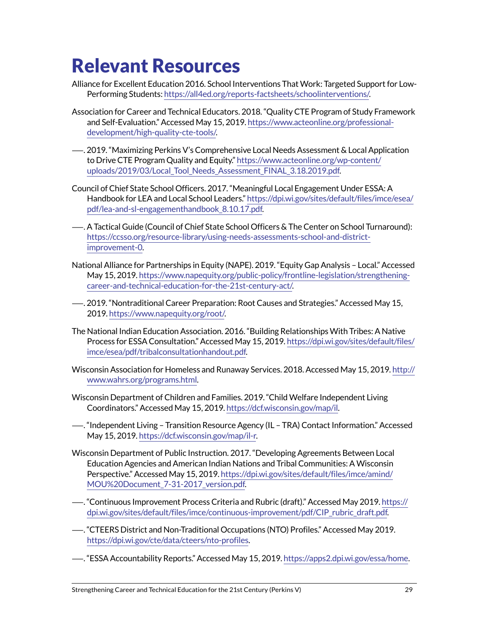# Relevant Resources

- Alliance for Excellent Education 2016. School Interventions That Work: Targeted Support for Low-Performing Students: <https://all4ed.org/reports-factsheets/schoolinterventions/>.
- Association for Career and Technical Educators. 2018. "Quality CTE Program of Study Framework and Self-Evaluation." Accessed May 15, 2019. [https://www.acteonline.org/professional](https://www.acteonline.org/professional-development/high-quality-cte-tools/)[development/high-quality-cte-tools/](https://www.acteonline.org/professional-development/high-quality-cte-tools/).
- —. 2019. "Maximizing Perkins V's Comprehensive Local Needs Assessment & Local Application to Drive CTE Program Quality and Equity." [https://www.acteonline.org/wp-content/](https://www.acteonline.org/wp-content/uploads/2019/03/Local_Tool_Needs_Assessment_FINAL_3.18.2019.pdf) [uploads/2019/03/Local\\_Tool\\_Needs\\_Assessment\\_FINAL\\_3.18.2019.pdf](https://www.acteonline.org/wp-content/uploads/2019/03/Local_Tool_Needs_Assessment_FINAL_3.18.2019.pdf).
- Council of Chief State School Officers. 2017. "Meaningful Local Engagement Under ESSA: A Handbook for LEA and Local School Leaders." [https://dpi.wi.gov/sites/default/files/imce/esea/](https://dpi.wi.gov/sites/default/files/imce/esea/pdf/lea-and-sl-engagementhandbook_8.10.17.pdf) [pdf/lea-and-sl-engagementhandbook\\_8.10.17.pdf](https://dpi.wi.gov/sites/default/files/imce/esea/pdf/lea-and-sl-engagementhandbook_8.10.17.pdf).
- —. A Tactical Guide (Council of Chief State School Officers & The Center on School Turnaround): [https://ccsso.org/resource-library/using-needs-assessments-school-and-district](https://ccsso.org/resource-library/using-needs-assessments-school-and-district-improvement-0)[improvement-0](https://ccsso.org/resource-library/using-needs-assessments-school-and-district-improvement-0).
- National Alliance for Partnerships in Equity (NAPE). 2019. "Equity Gap Analysis Local." Accessed May 15, 2019. [https://www.napequity.org/public-policy/frontline-legislation/strengthening](https://www.napequity.org/public-policy/frontline-legislation/strengthening-career-and-technical-education-for-the-21st-century-act/)[career-and-technical-education-for-the-21st-century-act/.](https://www.napequity.org/public-policy/frontline-legislation/strengthening-career-and-technical-education-for-the-21st-century-act/)
- —. 2019. "Nontraditional Career Preparation: Root Causes and Strategies." Accessed May 15, 2019. <https://www.napequity.org/root/>.
- The National Indian Education Association. 2016. "Building Relationships With Tribes: A Native Process for ESSA Consultation." Accessed May 15, 2019. [https://dpi.wi.gov/sites/default/files/](https://dpi.wi.gov/sites/default/files/imce/esea/pdf/tribalconsultationhandout.pdf) [imce/esea/pdf/tribalconsultationhandout.pdf.](https://dpi.wi.gov/sites/default/files/imce/esea/pdf/tribalconsultationhandout.pdf)
- Wisconsin Association for Homeless and Runaway Services. 2018. Accessed May 15, 2019. [http://](http://www.wahrs.org/programs.html) [www.wahrs.org/programs.html.](http://www.wahrs.org/programs.html)
- Wisconsin Department of Children and Families. 2019. "Child Welfare Independent Living Coordinators." Accessed May 15, 2019. <https://dcf.wisconsin.gov/map/il>.
- —. "Independent Living Transition Resource Agency (IL TRA) Contact Information." Accessed May 15, 2019. [https://dcf.wisconsin.gov/map/il-r.](https://dcf.wisconsin.gov/map/il-r)
- Wisconsin Department of Public Instruction. 2017. "Developing Agreements Between Local Education Agencies and American Indian Nations and Tribal Communities: A Wisconsin Perspective." Accessed May 15, 2019. [https://dpi.wi.gov/sites/default/files/imce/amind/](https://dpi.wi.gov/sites/default/files/imce/amind/MOU%20Document_7-31-2017_version.pdf) [MOU%20Document\\_7-31-2017\\_version.pdf.](https://dpi.wi.gov/sites/default/files/imce/amind/MOU%20Document_7-31-2017_version.pdf)
- —. "Continuous Improvement Process Criteria and Rubric (draft)." Accessed May 2019. [https://](https://dpi.wi.gov/sites/default/files/imce/continuous-improvement/pdf/CIP_rubric_draft.pdf) [dpi.wi.gov/sites/default/files/imce/continuous-improvement/pdf/CIP\\_rubric\\_draft.pdf.](https://dpi.wi.gov/sites/default/files/imce/continuous-improvement/pdf/CIP_rubric_draft.pdf)
- —. "CTEERS District and Non-Traditional Occupations (NTO) Profiles." Accessed May 2019. <https://dpi.wi.gov/cte/data/cteers/nto-profiles>.
- —. "ESSA Accountability Reports." Accessed May 15, 2019.<https://apps2.dpi.wi.gov/essa/home>.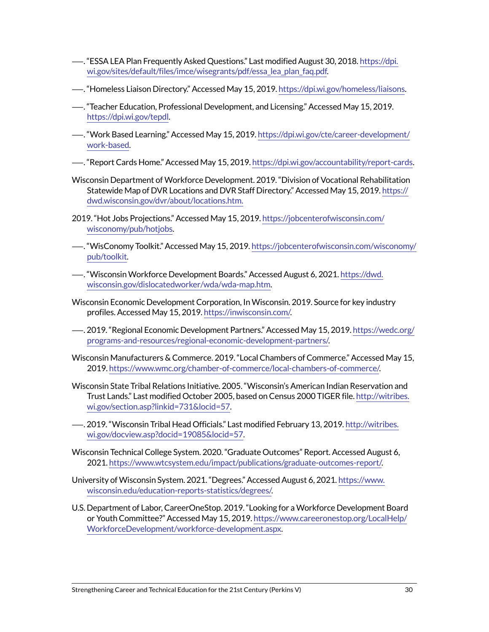- —. "ESSA LEA Plan Frequently Asked Questions." Last modified August 30, 2018. [https://dpi.](https://dpi.wi.gov/sites/default/files/imce/wisegrants/pdf/essa_lea_plan_faq.pdf) [wi.gov/sites/default/files/imce/wisegrants/pdf/essa\\_lea\\_plan\\_faq.pdf](https://dpi.wi.gov/sites/default/files/imce/wisegrants/pdf/essa_lea_plan_faq.pdf).
- —. "Homeless Liaison Directory." Accessed May 15, 2019.<https://dpi.wi.gov/homeless/liaisons>.
- —. "Teacher Education, Professional Development, and Licensing." Accessed May 15, 2019. <https://dpi.wi.gov/tepdl>.
- —. "Work Based Learning." Accessed May 15, 2019. [https://dpi.wi.gov/cte/career-development/](https://dpi.wi.gov/cte/career-development/work-based) [work-based.](https://dpi.wi.gov/cte/career-development/work-based)
- —. "Report Cards Home." Accessed May 15, 2019. [https://dpi.wi.gov/accountability/report-cards.](https://dpi.wi.gov/accountability/report-cards)
- Wisconsin Department of Workforce Development. 2019. "Division of Vocational Rehabilitation Statewide Map of DVR Locations and DVR Staff Directory." Accessed May 15, 2019. [https://](https://dwd.wisconsin.gov/dvr/about/locations.htm) [dwd.wisconsin.gov/dvr/about/locations.htm.](https://dwd.wisconsin.gov/dvr/about/locations.htm)
- 2019. "Hot Jobs Projections." Accessed May 15, 2019. [https://jobcenterofwisconsin.com/](https://jobcenterofwisconsin.com/wisconomy/pub/hotjobs) [wisconomy/pub/hotjobs](https://jobcenterofwisconsin.com/wisconomy/pub/hotjobs).
- —. "WisConomy Toolkit." Accessed May 15, 2019. [https://jobcenterofwisconsin.com/wisconomy/](https://jobcenterofwisconsin.com/wisconomy/pub/toolkit) [pub/toolkit.](https://jobcenterofwisconsin.com/wisconomy/pub/toolkit)
- —. "Wisconsin Workforce Development Boards." Accessed August 6, 2021. [https://dwd.](https://dwd.wisconsin.gov/dislocatedworker/wda/wda-map.htm) [wisconsin.gov/dislocatedworker/wda/wda-map.htm.](https://dwd.wisconsin.gov/dislocatedworker/wda/wda-map.htm)
- Wisconsin Economic Development Corporation, In Wisconsin. 2019. Source for key industry profiles. Accessed May 15, 2019.<https://inwisconsin.com/>.
- —. 2019. "Regional Economic Development Partners." Accessed May 15, 2019. [https://wedc.org/](https://wedc.org/programs-and-resources/regional-economic-development-partners/) [programs-and-resources/regional-economic-development-partners/](https://wedc.org/programs-and-resources/regional-economic-development-partners/).
- Wisconsin Manufacturers & Commerce. 2019. "Local Chambers of Commerce." Accessed May 15, 2019. [https://www.wmc.org/chamber-of-commerce/local-chambers-of-commerce/.](https://www.wmc.org/chamber-of-commerce/local-chambers-of-commerce/)
- Wisconsin State Tribal Relations Initiative. 2005. "Wisconsin's American Indian Reservation and Trust Lands." Last modified October 2005, based on Census 2000 TIGER file. [http://witribes.](http://witribes.wi.gov/section.asp?linkid=731&locid=57) [wi.gov/section.asp?linkid=731&locid=57](http://witribes.wi.gov/section.asp?linkid=731&locid=57).
- —. 2019. "Wisconsin Tribal Head Officials." Last modified February 13, 2019. [http://witribes.](http://witribes.wi.gov/docview.asp?docid=19085&locid=57) [wi.gov/docview.asp?docid=19085&locid=57.](http://witribes.wi.gov/docview.asp?docid=19085&locid=57)
- Wisconsin Technical College System. 2020. "Graduate Outcomes" Report. Accessed August 6, 2021. [https://www.wtcsystem.edu/impact/publications/graduate-outcomes-report/.](https://www.wtcsystem.edu/impact/publications/graduate-outcomes-report/)
- University of Wisconsin System. 2021. "Degrees." Accessed August 6, 2021. [https://www.](https://www.wisconsin.edu/education-reports-statistics/degrees/) [wisconsin.edu/education-reports-statistics/degrees/.](https://www.wisconsin.edu/education-reports-statistics/degrees/)
- U.S. Department of Labor, CareerOneStop. 2019. "Looking for a Workforce Development Board or Youth Committee?" Accessed May 15, 2019. [https://www.careeronestop.org/LocalHelp/](https://www.careeronestop.org/LocalHelp/WorkforceDevelopment/workforce-development.aspx) [WorkforceDevelopment/workforce-development.aspx](https://www.careeronestop.org/LocalHelp/WorkforceDevelopment/workforce-development.aspx).